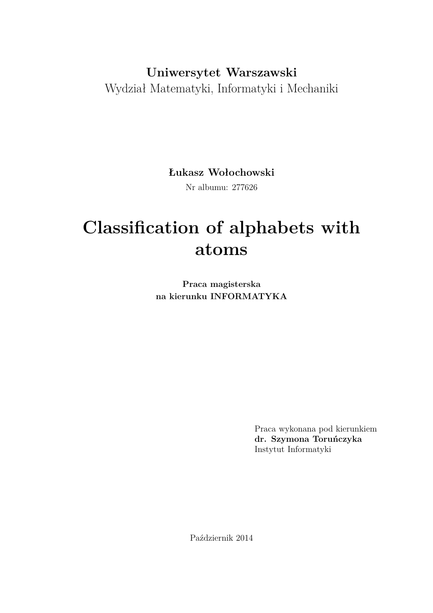## **Uniwersytet Warszawski** Wydział Matematyki, Informatyki i Mechaniki

**Łukasz Wołochowski**

Nr albumu: 277626

# **Classification of alphabets with atoms**

**Praca magisterska na kierunku INFORMATYKA**

> Praca wykonana pod kierunkiem **dr. Szymona Toruńczyka** Instytut Informatyki

Październik 2014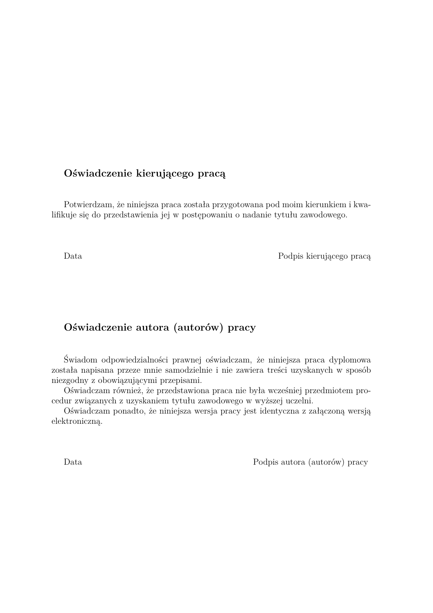#### **Oświadczenie kierującego pracą**

Potwierdzam, że niniejsza praca została przygotowana pod moim kierunkiem i kwalifikuje się do przedstawienia jej w postępowaniu o nadanie tytułu zawodowego.

Data Podpis kierującego pracą

#### **Oświadczenie autora (autorów) pracy**

Świadom odpowiedzialności prawnej oświadczam, że niniejsza praca dyplomowa została napisana przeze mnie samodzielnie i nie zawiera treści uzyskanych w sposób niezgodny z obowiązującymi przepisami.

Oświadczam również, że przedstawiona praca nie była wcześniej przedmiotem procedur związanych z uzyskaniem tytułu zawodowego w wyższej uczelni.

Oświadczam ponadto, że niniejsza wersja pracy jest identyczna z załączoną wersją elektroniczną.

Data Podpis autora (autorów) pracy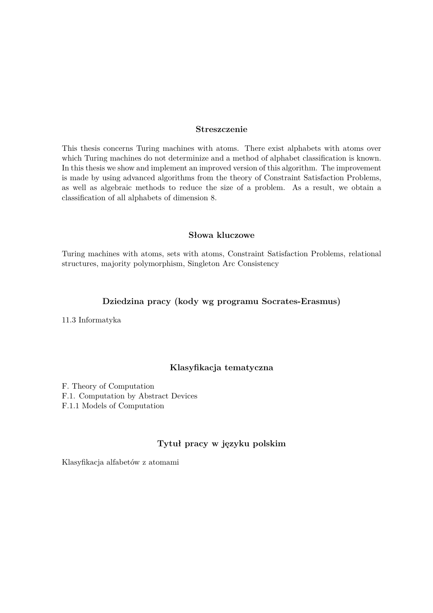#### **Streszczenie**

This thesis concerns Turing machines with atoms. There exist alphabets with atoms over which Turing machines do not determinize and a method of alphabet classification is known. In this thesis we show and implement an improved version of this algorithm. The improvement is made by using advanced algorithms from the theory of Constraint Satisfaction Problems, as well as algebraic methods to reduce the size of a problem. As a result, we obtain a classification of all alphabets of dimension 8.

#### **Słowa kluczowe**

Turing machines with atoms, sets with atoms, Constraint Satisfaction Problems, relational structures, majority polymorphism, Singleton Arc Consistency

#### **Dziedzina pracy (kody wg programu Socrates-Erasmus)**

11.3 Informatyka

#### **Klasyfikacja tematyczna**

F. Theory of Computation F.1. Computation by Abstract Devices F.1.1 Models of Computation

#### **Tytuł pracy w języku polskim**

Klasyfikacja alfabetów z atomami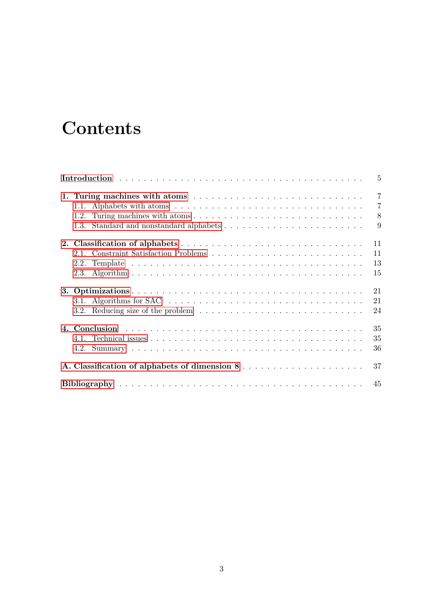# **Contents**

|                                                                                                           | $\overline{5}$ |
|-----------------------------------------------------------------------------------------------------------|----------------|
| 1. Turing machines with atoms                                                                             | $\overline{7}$ |
|                                                                                                           | $\overline{7}$ |
| 1.2.                                                                                                      | $8\,$          |
|                                                                                                           | 9              |
|                                                                                                           | 11             |
|                                                                                                           | 11             |
|                                                                                                           | 13             |
|                                                                                                           | 15             |
|                                                                                                           | 21             |
|                                                                                                           | 21             |
| 3.2. Reducing size of the problem $\ldots \ldots \ldots \ldots \ldots \ldots \ldots \ldots \ldots \ldots$ | 24             |
|                                                                                                           | 35             |
|                                                                                                           | 35             |
|                                                                                                           | 36             |
|                                                                                                           | 37             |
|                                                                                                           | 45             |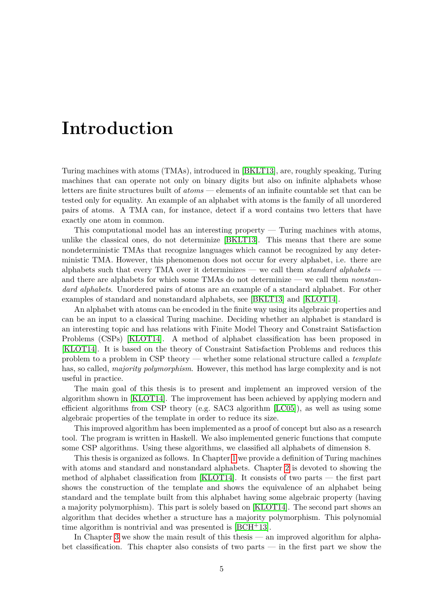# <span id="page-6-0"></span>**Introduction**

Turing machines with atoms (TMAs), introduced in [\[BKLT13\]](#page-46-1), are, roughly speaking, Turing machines that can operate not only on binary digits but also on infinite alphabets whose letters are finite structures built of *atoms* — elements of an infinite countable set that can be tested only for equality. An example of an alphabet with atoms is the family of all unordered pairs of atoms. A TMA can, for instance, detect if a word contains two letters that have exactly one atom in common.

This computational model has an interesting property — Turing machines with atoms, unlike the classical ones, do not determinize [\[BKLT13\]](#page-46-1). This means that there are some nondeterministic TMAs that recognize languages which cannot be recognized by any deterministic TMA. However, this phenomenon does not occur for every alphabet, i.e. there are alphabets such that every TMA over it determinizes — we call them *standard alphabets* and there are alphabets for which some TMAs do not determinize — we call them *nonstandard alphabets*. Unordered pairs of atoms are an example of a standard alphabet. For other examples of standard and nonstandard alphabets, see [\[BKLT13\]](#page-46-1) and [\[KLOT14\]](#page-46-2).

An alphabet with atoms can be encoded in the finite way using its algebraic properties and can be an input to a classical Turing machine. Deciding whether an alphabet is standard is an interesting topic and has relations with Finite Model Theory and Constraint Satisfaction Problems (CSPs) [\[KLOT14\]](#page-46-2). A method of alphabet classification has been proposed in [\[KLOT14\]](#page-46-2). It is based on the theory of Constraint Satisfaction Problems and reduces this problem to a problem in CSP theory — whether some relational structure called a *template* has, so called, *majority polymorphism*. However, this method has large complexity and is not useful in practice.

The main goal of this thesis is to present and implement an improved version of the algorithm shown in [\[KLOT14\]](#page-46-2). The improvement has been achieved by applying modern and efficient algorithms from CSP theory (e.g. SAC3 algorithm [\[LC05\]](#page-46-3)), as well as using some algebraic properties of the template in order to reduce its size.

This improved algorithm has been implemented as a proof of concept but also as a research tool. The program is written in Haskell. We also implemented generic functions that compute some CSP algorithms. Using these algorithms, we classified all alphabets of dimension 8.

This thesis is organized as follows. In Chapter [1](#page-8-0) we provide a definition of Turing machines with atoms and standard and nonstandard alphabets. Chapter [2](#page-12-0) is devoted to showing the method of alphabet classification from [\[KLOT14\]](#page-46-2). It consists of two parts — the first part shows the construction of the template and shows the equivalence of an alphabet being standard and the template built from this alphabet having some algebraic property (having a majority polymorphism). This part is solely based on [\[KLOT14\]](#page-46-2). The second part shows an algorithm that decides whether a structure has a majority polymorphism. This polynomial time algorithm is nontrivial and was presented is  $[BCH^+13]$  $[BCH^+13]$ .

In Chapter [3](#page-22-0) we show the main result of this thesis — an improved algorithm for alphabet classification. This chapter also consists of two parts — in the first part we show the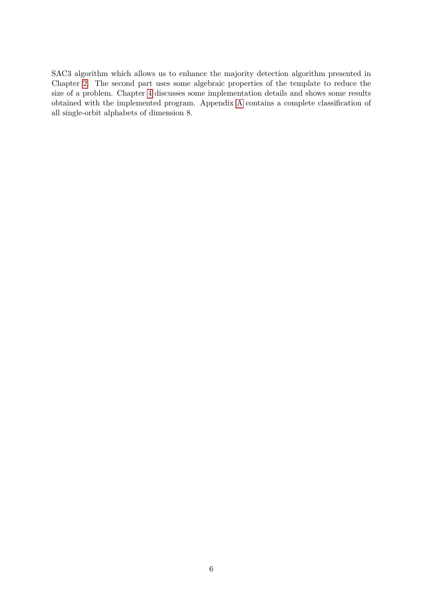SAC3 algorithm which allows us to enhance the majority detection algorithm presented in Chapter [2.](#page-12-0) The second part uses some algebraic properties of the template to reduce the size of a problem. Chapter [4](#page-36-0) discusses some implementation details and shows some results obtained with the implemented program. Appendix [A](#page-38-0) contains a complete classification of all single-orbit alphabets of dimension 8.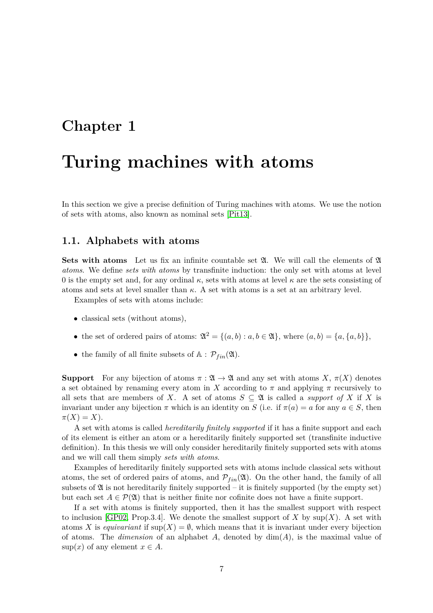### <span id="page-8-0"></span>**Chapter 1**

## **Turing machines with atoms**

In this section we give a precise definition of Turing machines with atoms. We use the notion of sets with atoms, also known as nominal sets [\[Pit13\]](#page-46-5).

#### <span id="page-8-1"></span>**1.1. Alphabets with atoms**

**Sets with atoms** Let us fix an infinite countable set  $\mathfrak{A}$ . We will call the elements of  $\mathfrak{A}$ *atoms*. We define *sets with atoms* by transfinite induction: the only set with atoms at level 0 is the empty set and, for any ordinal  $\kappa$ , sets with atoms at level  $\kappa$  are the sets consisting of atoms and sets at level smaller than  $\kappa$ . A set with atoms is a set at an arbitrary level.

Examples of sets with atoms include:

- classical sets (without atoms),
- the set of ordered pairs of atoms:  $\mathfrak{A}^2 = \{(a, b) : a, b \in \mathfrak{A}\}\text{, where } (a, b) = \{a, \{a, b\}\}\text{,}$
- the family of all finite subsets of  $A : \mathcal{P}_{fin}(\mathfrak{A})$ .

**Support** For any bijection of atoms  $\pi : \mathfrak{A} \to \mathfrak{A}$  and any set with atoms *X*,  $\pi(X)$  denotes a set obtained by renaming every atom in *X* according to  $\pi$  and applying  $\pi$  recursively to all sets that are members of *X*. A set of atoms  $S \subseteq \mathfrak{A}$  is called a *support of X* if *X* is invariant under any bijection  $\pi$  which is an identity on *S* (i.e. if  $\pi(a) = a$  for any  $a \in S$ , then  $\pi(X) = X$ ).

A set with atoms is called *hereditarily finitely supported* if it has a finite support and each of its element is either an atom or a hereditarily finitely supported set (transfinite inductive definition). In this thesis we will only consider hereditarily finitely supported sets with atoms and we will call them simply *sets with atoms*.

Examples of hereditarily finitely supported sets with atoms include classical sets without atoms, the set of ordered pairs of atoms, and  $\mathcal{P}_{fin}(\mathfrak{A})$ . On the other hand, the family of all subsets of  $\mathfrak A$  is not hereditarily finitely supported – it is finitely supported (by the empty set) but each set  $A \in \mathcal{P}(\mathfrak{A})$  that is neither finite nor cofinite does not have a finite support.

If a set with atoms is finitely supported, then it has the smallest support with respect to inclusion [\[GP02,](#page-46-6) Prop.3.4]. We denote the smallest support of  $X$  by  $\text{sup}(X)$ . A set with atoms *X* is *equivariant* if  $\sup(X) = \emptyset$ , which means that it is invariant under every bijection of atoms. The *dimension* of an alphabet  $A$ , denoted by  $dim(A)$ , is the maximal value of  $\sup(x)$  of any element  $x \in A$ .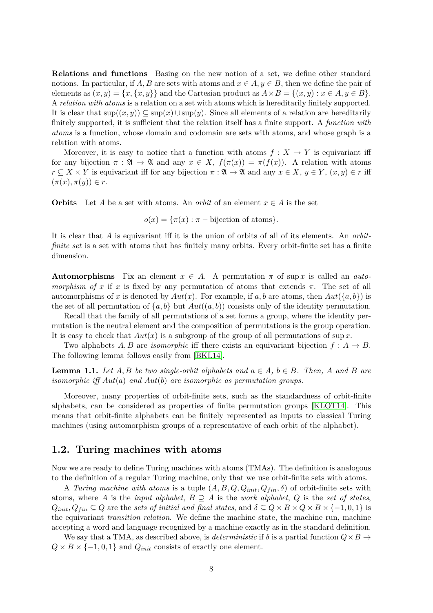**Relations and functions** Basing on the new notion of a set, we define other standard notions. In particular, if *A, B* are sets with atoms and  $x \in A, y \in B$ , then we define the pair of elements as  $(x, y) = \{x, \{x, y\}\}\$ and the Cartesian product as  $A \times B = \{(x, y) : x \in A, y \in B\}$ . A *relation with atoms* is a relation on a set with atoms which is hereditarily finitely supported. It is clear that  $\sup((x, y)) \subseteq \sup(x) \cup \sup(y)$ . Since all elements of a relation are hereditarily finitely supported, it is sufficient that the relation itself has a finite support. A *function with atoms* is a function, whose domain and codomain are sets with atoms, and whose graph is a relation with atoms.

Moreover, it is easy to notice that a function with atoms  $f: X \to Y$  is equivariant iff for any bijection  $\pi : \mathfrak{A} \to \mathfrak{A}$  and any  $x \in X$ ,  $f(\pi(x)) = \pi(f(x))$ . A relation with atoms  $r \subseteq X \times Y$  is equivariant iff for any bijection  $\pi : \mathfrak{A} \to \mathfrak{A}$  and any  $x \in X, y \in Y, (x, y) \in r$  iff  $(\pi(x), \pi(y)) \in r$ .

**Orbits** Let *A* be a set with atoms. An *orbit* of an element  $x \in A$  is the set

 $o(x) = {\pi(x) : \pi - \text{bijection of atoms}}.$ 

It is clear that *A* is equivariant iff it is the union of orbits of all of its elements. An *orbitfinite set* is a set with atoms that has finitely many orbits. Every orbit-finite set has a finite dimension.

**Automorphisms** Fix an element  $x \in A$ . A permutation  $\pi$  of sup *x* is called an *automorphism of x* if *x* is fixed by any permutation of atoms that extends  $\pi$ . The set of all automorphisms of x is denoted by  $Aut(x)$ . For example, if a, b are atoms, then  $Aut({a,b})$  is the set of all permutation of  $\{a, b\}$  but  $Aut((a, b))$  consists only of the identity permutation.

Recall that the family of all permutations of a set forms a group, where the identity permutation is the neutral element and the composition of permutations is the group operation. It is easy to check that *Aut*(*x*) is a subgroup of the group of all permutations of sup *x*.

Two alphabets  $A, B$  are *isomorphic* iff there exists an equivariant bijection  $f : A \rightarrow B$ . The following lemma follows easily from [\[BKL14\]](#page-46-7).

<span id="page-9-1"></span>**Lemma 1.1.** *Let*  $A, B$  *be two single-orbit alphabets and*  $a \in A, b \in B$ *. Then,*  $A$  *and*  $B$  *are isomorphic iff Aut*(*a*) *and Aut*(*b*) *are isomorphic as permutation groups.*

Moreover, many properties of orbit-finite sets, such as the standardness of orbit-finite alphabets, can be considered as properties of finite permutation groups [\[KLOT14\]](#page-46-2). This means that orbit-finite alphabets can be finitely represented as inputs to classical Turing machines (using automorphism groups of a representative of each orbit of the alphabet).

#### <span id="page-9-0"></span>**1.2. Turing machines with atoms**

Now we are ready to define Turing machines with atoms (TMAs). The definition is analogous to the definition of a regular Turing machine, only that we use orbit-finite sets with atoms.

A *Turing machine with atoms* is a tuple  $(A, B, Q, Q_{init}, Q_{fin}, \delta)$  of orbit-finite sets with atoms, where *A* is the *input alphabet*,  $B \supseteq A$  is the *work alphabet*, *Q* is the *set of states*,  $Q_{init}$ ,  $Q_{fin} \subseteq Q$  are the *sets of initial and final states*, and  $\delta \subseteq Q \times B \times Q \times B \times \{-1,0,1\}$  is the equivariant *transition relation*. We define the machine state, the machine run, machine accepting a word and language recognized by a machine exactly as in the standard definition.

We say that a TMA, as described above, is *deterministic* if  $\delta$  is a partial function  $Q \times B \rightarrow$  $Q \times B \times \{-1, 0, 1\}$  and  $Q_{init}$  consists of exactly one element.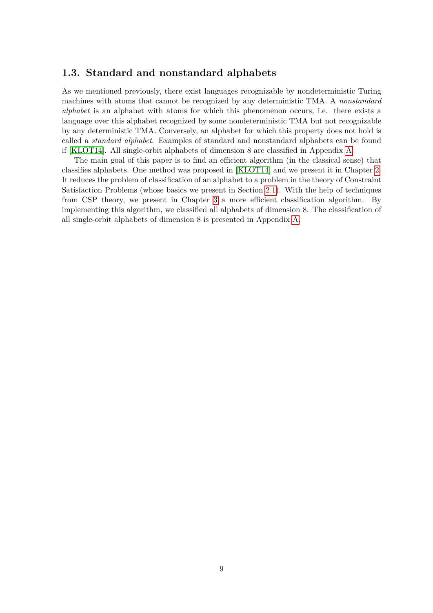#### <span id="page-10-0"></span>**1.3. Standard and nonstandard alphabets**

As we mentioned previously, there exist languages recognizable by nondeterministic Turing machines with atoms that cannot be recognized by any deterministic TMA. A *nonstandard alphabet* is an alphabet with atoms for which this phenomenon occurs, i.e. there exists a language over this alphabet recognized by some nondeterministic TMA but not recognizable by any deterministic TMA. Conversely, an alphabet for which this property does not hold is called a *standard alphabet*. Examples of standard and nonstandard alphabets can be found if [\[KLOT14\]](#page-46-2). All single-orbit alphabets of dimension 8 are classified in Appendix [A.](#page-38-0)

The main goal of this paper is to find an efficient algorithm (in the classical sense) that classifies alphabets. One method was proposed in [\[KLOT14\]](#page-46-2) and we present it in Chapter [2.](#page-12-0) It reduces the problem of classification of an alphabet to a problem in the theory of Constraint Satisfaction Problems (whose basics we present in Section [2.1\)](#page-12-1). With the help of techniques from CSP theory, we present in Chapter [3](#page-22-0) a more efficient classification algorithm. By implementing this algorithm, we classified all alphabets of dimension 8. The classification of all single-orbit alphabets of dimension 8 is presented in Appendix [A.](#page-38-0)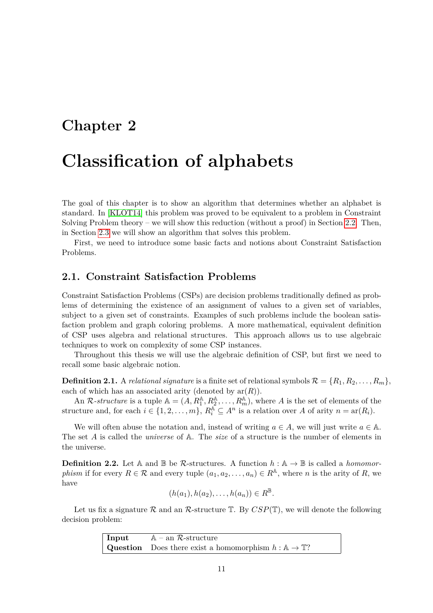## <span id="page-12-0"></span>**Chapter 2**

## **Classification of alphabets**

The goal of this chapter is to show an algorithm that determines whether an alphabet is standard. In [\[KLOT14\]](#page-46-2) this problem was proved to be equivalent to a problem in Constraint Solving Problem theory – we will show this reduction (without a proof) in Section [2.2.](#page-14-0) Then, in Section [2.3](#page-16-0) we will show an algorithm that solves this problem.

First, we need to introduce some basic facts and notions about Constraint Satisfaction Problems.

#### <span id="page-12-1"></span>**2.1. Constraint Satisfaction Problems**

Constraint Satisfaction Problems (CSPs) are decision problems traditionally defined as problems of determining the existence of an assignment of values to a given set of variables, subject to a given set of constraints. Examples of such problems include the boolean satisfaction problem and graph coloring problems. A more mathematical, equivalent definition of CSP uses algebra and relational structures. This approach allows us to use algebraic techniques to work on complexity of some CSP instances.

Throughout this thesis we will use the algebraic definition of CSP, but first we need to recall some basic algebraic notion.

**Definition 2.1.** A *relational signature* is a finite set of relational symbols  $\mathcal{R} = \{R_1, R_2, \ldots, R_m\}$ , each of which has an associated arity (denoted by  $ar(R)$ ).

An  $\mathcal{R}\text{-}structure$  is a tuple  $\mathbb{A} = (A, R_1^{\mathbb{A}}, R_2^{\mathbb{A}}, \ldots, R_m^{\mathbb{A}})$ , where  $A$  is the set of elements of the structure and, for each  $i \in \{1, 2, ..., m\}$ ,  $R_i^{\mathbb{A}} \subseteq A^n$  is a relation over *A* of arity  $n = \text{ar}(R_i)$ .

We will often abuse the notation and, instead of writing  $a \in A$ , we will just write  $a \in A$ . The set *A* is called the *universe* of A. The *size* of a structure is the number of elements in the universe.

**Definition 2.2.** Let A and  $\mathbb{B}$  be R-structures. A function  $h : \mathbb{A} \to \mathbb{B}$  is called a *homomorphism* if for every  $R \in \mathcal{R}$  and every tuple  $(a_1, a_2, \ldots, a_n) \in R^{\mathbb{A}}$ , where *n* is the arity of *R*, we have

$$
(h(a_1), h(a_2), \ldots, h(a_n)) \in R^{\mathbb{B}}.
$$

Let us fix a signature  $\mathcal R$  and an  $\mathcal R$ -structure  $\mathbb T$ . By  $CSP(\mathbb T)$ , we will denote the following decision problem:

> **Input**  $A - an R-structure$ **Question** Does there exist a homomorphism  $h : A \to T$ ?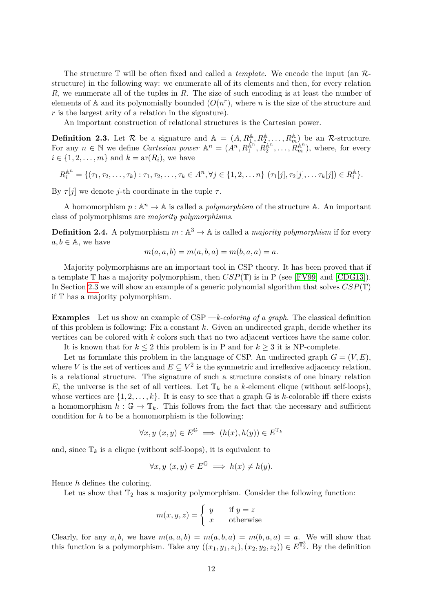The structure T will be often fixed and called a *template*. We encode the input (an Rstructure) in the following way: we enumerate all of its elements and then, for every relation *R*, we enumerate all of the tuples in *R*. The size of such encoding is at least the number of elements of  $A$  and its polynomially bounded  $(O(n^r))$ , where *n* is the size of the structure and *r* is the largest arity of a relation in the signature).

An important construction of relational structures is the Cartesian power.

**Definition 2.3.** Let  $\mathcal{R}$  be a signature and  $\mathbb{A} = (A, R_1^{\mathbb{A}}, R_2^{\mathbb{A}}, \ldots, R_m^{\mathbb{A}})$  be an  $\mathcal{R}$ -structure. For any  $n \in \mathbb{N}$  we define *Cartesian power*  $\mathbb{A}^n = (A^n, R_1^{\mathbb{A}^n}, R_2^{\mathbb{A}^n}, \ldots, R_m^{\mathbb{A}^n})$ , where, for every  $i \in \{1, 2, \ldots, m\}$  and  $k = \text{ar}(R_i)$ , we have

$$
R_i^{\mathbb{A}^n} = \{(\tau_1, \tau_2, \ldots, \tau_k) : \tau_1, \tau_2, \ldots, \tau_k \in A^n, \forall j \in \{1, 2, \ldots n\} \; (\tau_1[j], \tau_2[j], \ldots \tau_k[j]) \in R_i^{\mathbb{A}}\}.
$$

By  $\tau[i]$  we denote *j*-th coordinate in the tuple  $\tau$ .

A homomorphism  $p : \mathbb{A}^n \to \mathbb{A}$  is called a *polymorphism* of the structure  $\mathbb{A}$ . An important class of polymorphisms are *majority polymorphisms*.

**Definition 2.4.** A polymorphism  $m : \mathbb{A}^3 \to \mathbb{A}$  is called a *majority polymorphism* if for every  $a, b \in \mathbb{A}$ , we have

$$
m(a, a, b) = m(a, b, a) = m(b, a, a) = a.
$$

Majority polymorphisms are an important tool in CSP theory. It has been proved that if a template T has a majority polymorphism, then *CSP*(T) is in P (see [\[FV99\]](#page-46-8) and [\[CDG13\]](#page-46-9)). In Section [2.3](#page-16-0) we will show an example of a generic polynomial algorithm that solves *CSP*(T) if T has a majority polymorphism.

**Examples** Let us show an example of CSP —*k-coloring of a graph*. The classical definition of this problem is following: Fix a constant *k*. Given an undirected graph, decide whether its vertices can be colored with *k* colors such that no two adjacent vertices have the same color.

It is known that for  $k \leq 2$  this problem is in P and for  $k \geq 3$  it is NP-complete.

Let us formulate this problem in the language of CSP. An undirected graph  $G = (V, E)$ , where *V* is the set of vertices and  $E \subseteq V^2$  is the symmetric and irreflexive adjacency relation, is a relational structure. The signature of such a structure consists of one binary relation *E*, the universe is the set of all vertices. Let  $\mathbb{T}_k$  be a *k*-element clique (without self-loops), whose vertices are  $\{1, 2, \ldots, k\}$ . It is easy to see that a graph  $\mathbb{G}$  is *k*-colorable iff there exists a homomorphism  $h : \mathbb{G} \to \mathbb{T}_k$ . This follows from the fact that the necessary and sufficient condition for *h* to be a homomorphism is the following:

$$
\forall x, y \ (x, y) \in E^{\mathbb{G}} \implies (h(x), h(y)) \in E^{\mathbb{T}_k}
$$

and, since  $\mathbb{T}_k$  is a clique (without self-loops), it is equivalent to

$$
\forall x, y \ (x, y) \in E^{\mathbb{G}} \implies h(x) \neq h(y).
$$

Hence *h* defines the coloring.

Let us show that  $\mathbb{T}_2$  has a majority polymorphism. Consider the following function:

$$
m(x, y, z) = \begin{cases} y & \text{if } y = z \\ x & \text{otherwise} \end{cases}
$$

Clearly, for any  $a, b$ , we have  $m(a, a, b) = m(a, b, a) = m(b, a, a) = a$ . We will show that this function is a polymorphism. Take any  $((x_1, y_1, z_1), (x_2, y_2, z_2)) \in E^{\mathbb{T}_2^3}$ . By the definition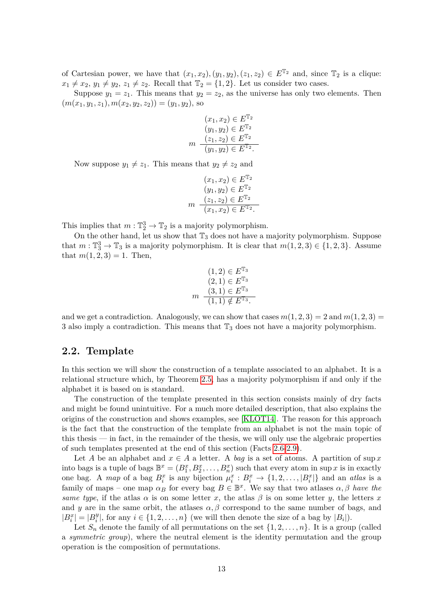of Cartesian power, we have that  $(x_1, x_2), (y_1, y_2), (z_1, z_2) \in E^{\mathbb{T}_2}$  and, since  $\mathbb{T}_2$  is a clique:  $x_1 \neq x_2, y_1 \neq y_2, z_1 \neq z_2$ . Recall that  $\mathbb{T}_2 = \{1, 2\}$ . Let us consider two cases.

Suppose  $y_1 = z_1$ . This means that  $y_2 = z_2$ , as the universe has only two elements. Then  $(m(x_1, y_1, z_1), m(x_2, y_2, z_2)) = (y_1, y_2)$ , so

$$
(x_1, x_2) \in E^{\mathbb{T}_2}
$$

$$
(y_1, y_2) \in E^{\mathbb{T}_2}
$$

$$
m \quad \frac{(z_1, z_2) \in E^{\mathbb{T}_2}}{(y_1, y_2) \in E^{\mathbb{T}_2}}.
$$

Now suppose  $y_1 \neq z_1$ . This means that  $y_2 \neq z_2$  and

$$
(x_1, x_2) \in E^{\mathbb{T}_2}
$$

$$
(y_1, y_2) \in E^{\mathbb{T}_2}
$$

$$
m \quad \frac{(z_1, z_2) \in E^{\mathbb{T}_2}}{(x_1, x_2) \in E^{\mathbb{T}_2}}.
$$

This implies that  $m: \mathbb{T}_2^3 \to \mathbb{T}_2$  is a majority polymorphism.

On the other hand, let us show that  $\mathbb{T}_3$  does not have a majority polymorphism. Suppose that  $m: \mathbb{T}_3^3 \to \mathbb{T}_3$  is a majority polymorphism. It is clear that  $m(1, 2, 3) \in \{1, 2, 3\}$ . Assume that  $m(1, 2, 3) = 1$ . Then,

$$
(1,2) \in E^{\mathbb{T}_3}
$$
  
\n
$$
(2,1) \in E^{\mathbb{T}_3}
$$
  
\n
$$
(3,1) \in E^{\mathbb{T}_3}
$$
  
\n
$$
(1,1) \notin E^{\mathbb{T}_3}.
$$

and we get a contradiction. Analogously, we can show that cases  $m(1, 2, 3) = 2$  and  $m(1, 2, 3) =$ 3 also imply a contradiction. This means that  $\mathbb{T}_3$  does not have a majority polymorphism.

#### <span id="page-14-0"></span>**2.2. Template**

In this section we will show the construction of a template associated to an alphabet. It is a relational structure which, by Theorem [2.5,](#page-15-0) has a majority polymorphism if and only if the alphabet it is based on is standard.

The construction of the template presented in this section consists mainly of dry facts and might be found unintuitive. For a much more detailed description, that also explains the origins of the construction and shows examples, see [\[KLOT14\]](#page-46-2). The reason for this approach is the fact that the construction of the template from an alphabet is not the main topic of this thesis — in fact, in the remainder of the thesis, we will only use the algebraic properties of such templates presented at the end of this section (Facts [2.6-](#page-15-1)[2.9\)](#page-16-1).

Let *A* be an alphabet and  $x \in A$  a letter. A *bag* is a set of atoms. A partition of sup x into bags is a tuple of bags  $\mathbb{B}^x = (B_1^x, B_2^x, \dots, B_n^x)$  such that every atom in sup *x* is in exactly one bag. A map of a bag  $B_i^x$  is any bijection  $\mu_i^x : B_i^x \to \{1, 2, \ldots, |B_i^x|\}$  and an *atlas* is a family of maps – one map  $\alpha_B$  for every bag  $B \in \mathbb{B}^x$ . We say that two atlases  $\alpha, \beta$  *have the same type*, if the atlas  $\alpha$  is on some letter *x*, the atlas  $\beta$  is on some letter *y*, the letters *x* and *y* are in the same orbit, the atlases  $\alpha$ ,  $\beta$  correspond to the same number of bags, and  $|B_i^x| = |B_i^y|$  $\mathcal{F}_i^y$ , for any  $i \in \{1, 2, \ldots, n\}$  (we will then denote the size of a bag by  $|B_i|$ ).

Let  $S_n$  denote the family of all permutations on the set  $\{1, 2, \ldots, n\}$ . It is a group (called a *symmetric group*), where the neutral element is the identity permutation and the group operation is the composition of permutations.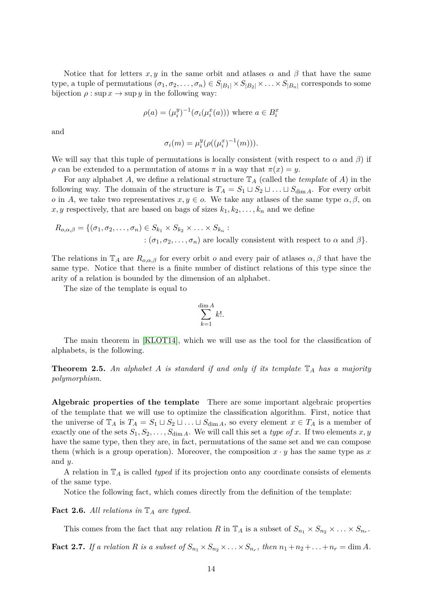Notice that for letters  $x, y$  in the same orbit and atlases  $\alpha$  and  $\beta$  that have the same type, a tuple of permutations  $(\sigma_1, \sigma_2, \ldots, \sigma_n) \in S_{|B_1|} \times S_{|B_2|} \times \ldots \times S_{|B_n|}$  corresponds to some bijection  $\rho : \sup x \to \sup y$  in the following way:

$$
\rho(a) = (\mu_i^y)^{-1} (\sigma_i(\mu_i^x(a)))
$$
 where  $a \in B_i^x$ 

and

$$
\sigma_i(m) = \mu_i^y(\rho((\mu_i^x)^{-1}(m))).
$$

We will say that this tuple of permutations is locally consistent (with respect to  $\alpha$  and  $\beta$ ) if *ρ* can be extended to a permutation of atoms  $\pi$  in a way that  $\pi(x) = y$ .

For any alphabet *A*, we define a relational structure T*<sup>A</sup>* (called the *template* of *A*) in the following way. The domain of the structure is  $T_A = S_1 \sqcup S_2 \sqcup \ldots \sqcup S_{\dim A}$ . For every orbit *o* in *A*, we take two representatives  $x, y \in o$ . We take any atlases of the same type  $\alpha, \beta$ , on  $x, y$  respectively, that are based on bags of sizes  $k_1, k_2, \ldots, k_n$  and we define

$$
R_{o,\alpha,\beta} = \{(\sigma_1, \sigma_2, \dots, \sigma_n) \in S_{k_1} \times S_{k_2} \times \dots \times S_{k_n} :
$$
  
:\n
$$
(\sigma_1, \sigma_2, \dots, \sigma_n) \text{ are locally consistent with respect to } \alpha \text{ and } \beta \}.
$$

The relations in  $\mathbb{T}_A$  are  $R_{o,\alpha,\beta}$  for every orbit *o* and every pair of atlases  $\alpha, \beta$  that have the same type. Notice that there is a finite number of distinct relations of this type since the arity of a relation is bounded by the dimension of an alphabet.

The size of the template is equal to

$$
\sum_{k=1}^{\dim A} k!.
$$

The main theorem in [\[KLOT14\]](#page-46-2), which we will use as the tool for the classification of alphabets, is the following.

<span id="page-15-0"></span>**Theorem 2.5.** *An alphabet A is standard if and only if its template* T*<sup>A</sup> has a majority polymorphism.*

**Algebraic properties of the template** There are some important algebraic properties of the template that we will use to optimize the classification algorithm. First, notice that the universe of  $\mathbb{T}_A$  is  $T_A = S_1 \sqcup S_2 \sqcup \ldots \sqcup S_{\dim A}$ , so every element  $x \in T_A$  is a member of exactly one of the sets  $S_1, S_2, \ldots, S_{\dim A}$ . We will call this set a *type of x*. If two elements  $x, y$ have the same type, then they are, in fact, permutations of the same set and we can compose them (which is a group operation). Moreover, the composition  $x \cdot y$  has the same type as x and *y*.

A relation in T*<sup>A</sup>* is called *typed* if its projection onto any coordinate consists of elements of the same type.

Notice the following fact, which comes directly from the definition of the template:

<span id="page-15-1"></span>**Fact 2.6.** *All relations in* T*<sup>A</sup> are typed.*

This comes from the fact that any relation *R* in  $\mathbb{T}_A$  is a subset of  $S_{n_1} \times S_{n_2} \times \ldots \times S_{n_r}$ .

<span id="page-15-2"></span>**Fact 2.7.** If a relation R is a subset of  $S_{n_1} \times S_{n_2} \times \ldots \times S_{n_r}$ , then  $n_1 + n_2 + \ldots + n_r = \dim A$ .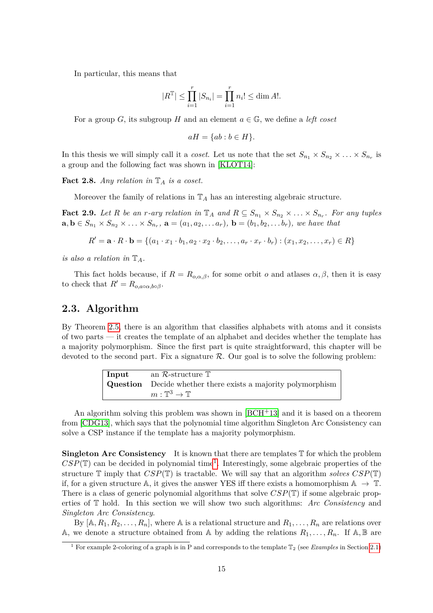In particular, this means that

$$
|R^{\mathbb{T}}| \le \prod_{i=1}^r |S_{n_i}| = \prod_{i=1}^r n_i! \le \dim A!
$$
.

For a group *G*, its subgroup *H* and an element  $a \in \mathbb{G}$ , we define a *left coset* 

$$
aH = \{ab : b \in H\}.
$$

In this thesis we will simply call it a *coset*. Let us note that the set  $S_{n_1} \times S_{n_2} \times \ldots \times S_{n_r}$  is a group and the following fact was shown in [\[KLOT14\]](#page-46-2):

<span id="page-16-3"></span>**Fact 2.8.** *Any relation in*  $\mathbb{T}_A$  *is a coset.* 

Moreover the family of relations in  $\mathbb{T}_A$  has an interesting algebraic structure.

<span id="page-16-1"></span>**Fact 2.9.** Let R be an *r*-ary relation in  $\mathbb{T}_A$  and  $R \subseteq S_{n_1} \times S_{n_2} \times \ldots \times S_{n_r}$ . For any tuples  $\mathbf{a}, \mathbf{b} \in S_{n_1} \times S_{n_2} \times \ldots \times S_{n_r}$ ,  $\mathbf{a} = (a_1, a_2, \ldots a_r)$ ,  $\mathbf{b} = (b_1, b_2, \ldots b_r)$ , we have that

$$
R' = \mathbf{a} \cdot R \cdot \mathbf{b} = \{(a_1 \cdot x_1 \cdot b_1, a_2 \cdot x_2 \cdot b_2, \dots, a_r \cdot x_r \cdot b_r) : (x_1, x_2, \dots, x_r) \in R\}
$$

*is also a relation in*  $\mathbb{T}_A$ *.* 

This fact holds because, if  $R = R_{o,\alpha,\beta}$ , for some orbit *o* and atlases  $\alpha, \beta$ , then it is easy to check that  $R' = R_{o,a \circ \alpha,b \circ \beta}$ .

#### <span id="page-16-0"></span>**2.3. Algorithm**

By Theorem [2.5,](#page-15-0) there is an algorithm that classifies alphabets with atoms and it consists of two parts — it creates the template of an alphabet and decides whether the template has a majority polymorphism. Since the first part is quite straightforward, this chapter will be devoted to the second part. Fix a signature  $\mathcal{R}$ . Our goal is to solve the following problem:

| Input | an R-structure $\mathbb T$                                          |
|-------|---------------------------------------------------------------------|
|       | <b>Question</b> Decide whether there exists a majority polymorphism |
|       | $m:\mathbb{T}^3\to\mathbb{T}$                                       |

An algorithm solving this problem was shown in  $[BCH<sup>+</sup>13]$  $[BCH<sup>+</sup>13]$  and it is based on a theorem from [\[CDG13\]](#page-46-9), which says that the polynomial time algorithm Singleton Arc Consistency can solve a CSP instance if the template has a majority polymorphism.

**Singleton Arc Consistency** It is known that there are templates  $\mathbb T$  for which the problem  $CSP(\mathbb{T})$  can be decided in polynomial time<sup>[1](#page-16-2)</sup>. Interestingly, some algebraic properties of the structure  $\mathbb T$  imply that  $CSP(\mathbb T)$  is tractable. We will say that an algorithm *solves*  $CSP(\mathbb T)$ if, for a given structure A, it gives the answer YES iff there exists a homomorphism  $A \rightarrow \mathbb{T}$ . There is a class of generic polynomial algorithms that solve *CSP*(T) if some algebraic properties of T hold. In this section we will show two such algorithms: *Arc Consistency* and *Singleton Arc Consistency*.

By  $[A, R_1, R_2, \ldots, R_n]$ , where A is a relational structure and  $R_1, \ldots, R_n$  are relations over A, we denote a structure obtained from A by adding the relations  $R_1, \ldots, R_n$ . If A, B are

<span id="page-16-2"></span><sup>&</sup>lt;sup>1</sup> For example 2-coloring of a graph is in P and corresponds to the template  $\mathbb{T}_2$  (see *Examples* in Section [2.1\)](#page-12-1)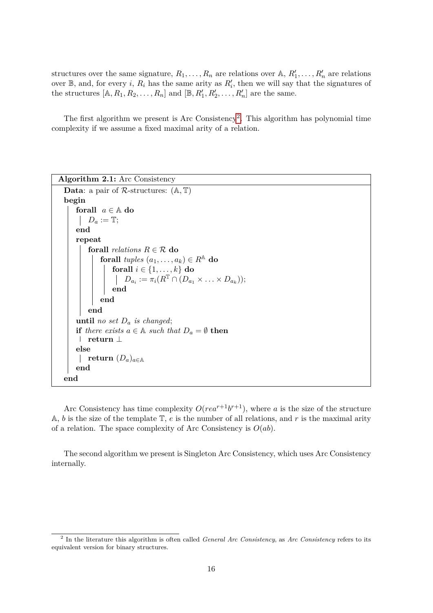structures over the same signature,  $R_1, \ldots, R_n$  are relations over  $\mathbb{A}, R'_1, \ldots, R'_n$  are relations over  $\mathbb{B}$ , and, for every *i*,  $R_i$  has the same arity as  $R'_i$ , then we will say that the signatures of the structures  $[A, R_1, R_2, \ldots, R_n]$  and  $[\mathbb{B}, R'_1, R'_2, \ldots, R'_n]$  are the same.

The first algorithm we present is Arc Consistency<sup>[2](#page-17-0)</sup>. This algorithm has polynomial time complexity if we assume a fixed maximal arity of a relation.

```
Algorithm 2.1: Arc Consistency
  Data: a pair of R-structures: (A, T)
  begin
      forall a \in \mathbb{A} do
       D_a := \mathbb{T};
      end
      repeat
           forall relations R \in \mathcal{R} do
               forall tuples (a_1, \ldots, a_k) \in R^{\mathbb{A}} do
                    forall i \in \{1, \ldots, k\} do
                         D_{a_i} := \pi_i(R^{\mathbb{T}} \cap (D_{a_1} \times \ldots \times D_{a_k}));
                    end
               end
           end
      until no set Da is changed;
      if there exists a \in \mathbb{A} such that D_a = \emptyset then
       return ⊥
      else
       \|return (D_a)_{a \in A}end
  end
```
Arc Consistency has time complexity  $O(rea^{r+1}b^{r+1})$ , where *a* is the size of the structure A, *b* is the size of the template T, *e* is the number of all relations, and *r* is the maximal arity of a relation. The space complexity of Arc Consistency is *O*(*ab*).

The second algorithm we present is Singleton Arc Consistency, which uses Arc Consistency internally.

<span id="page-17-0"></span><sup>2</sup> In the literature this algorithm is often called *General Arc Consistency*, as *Arc Consistency* refers to its equivalent version for binary structures.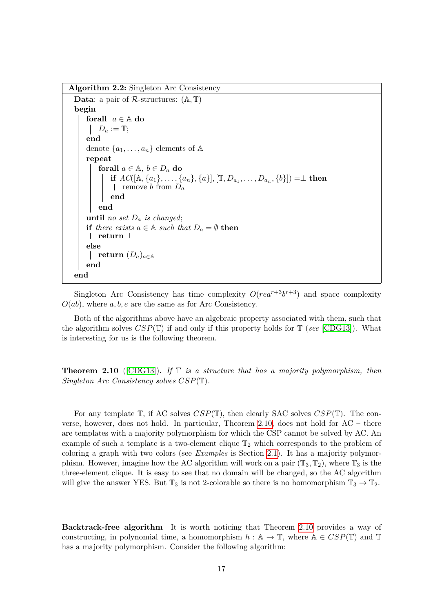**Algorithm 2.2:** Singleton Arc Consistency

```
Data: a pair of R-structures: (A, T)
begin
    forall a \in \mathbb{A} do
     D_a := \mathbb{T};end
    denote \{a_1, \ldots, a_n\} elements of A
    repeat
        forall a \in \mathbb{A}, b \in D_a do
             if AC([\mathbb{A}, \{a_1\}, \ldots, \{a_n\}, \{a\}], [\mathbb{T}, D_{a_1}, \ldots, D_{a_n}, \{b\}]) = \perp then
              remove b from Da
             end
        end
    until no set D_a is changed;
    if there exists a \in \mathbb{A} such that D_a = \emptyset then
     return ⊥
    else
     return (D_a)_{a \in A}end
end
```
Singleton Arc Consistency has time complexity  $O(rea^{r+3}b^{r+3})$  and space complexity *O*(*ab*), where *a, b, e* are the same as for Arc Consistency.

Both of the algorithms above have an algebraic property associated with them, such that the algorithm solves *CSP*(T) if and only if this property holds for T (*see* [\[CDG13\]](#page-46-9)). What is interesting for us is the following theorem.

<span id="page-18-0"></span>**Theorem 2.10** ([\[CDG13\]](#page-46-9))**.** *If* T *is a structure that has a majority polymorphism, then Singleton Arc Consistency solves CSP*(T)*.*

For any template T, if AC solves *CSP*(T), then clearly SAC solves *CSP*(T). The converse, however, does not hold. In particular, Theorem [2.10,](#page-18-0) does not hold for AC – there are templates with a majority polymorphism for which the CSP cannot be solved by AC. An example of such a template is a two-element clique  $\mathbb{T}_2$  which corresponds to the problem of coloring a graph with two colors (see *Examples* is Section [2.1\)](#page-12-1). It has a majority polymorphism. However, imagine how the AC algorithm will work on a pair  $(\mathbb{T}_3, \mathbb{T}_2)$ , where  $\mathbb{T}_3$  is the three-element clique. It is easy to see that no domain will be changed, so the AC algorithm will give the answer YES. But  $\mathbb{T}_3$  is not 2-colorable so there is no homomorphism  $\mathbb{T}_3 \to \mathbb{T}_2$ .

**Backtrack-free algorithm** It is worth noticing that Theorem [2.10](#page-18-0) provides a way of constructing, in polynomial time, a homomorphism  $h : \mathbb{A} \to \mathbb{T}$ , where  $\mathbb{A} \in CSP(\mathbb{T})$  and  $\mathbb{T}$ has a majority polymorphism. Consider the following algorithm: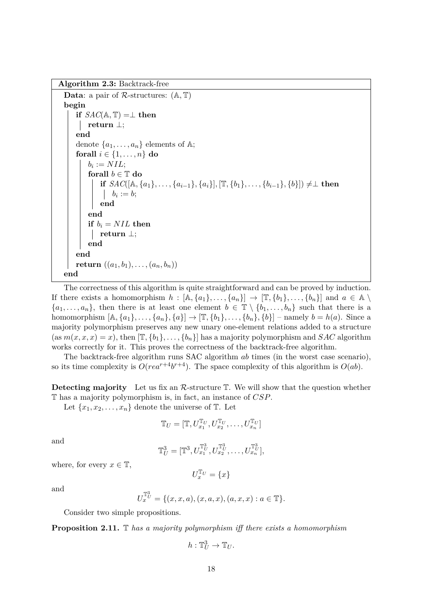**Algorithm 2.3:** Backtrack-free

```
Data: a pair of R-structures: (A, T)
begin
    if SAC(\mathbb{A}, \mathbb{T}) = \perp then
     return ⊥;
    end
    denote \{a_1, \ldots, a_n\} elements of A;
    forall i \in \{1, \ldots, n\} do
         b_i := NIL;forall b \in \mathbb{T} do
             if SAC([\mathbb{A}, \{a_1\}, \ldots, \{a_{i-1}\}, \{a_i\}], [\mathbb{T}, \{b_1\}, \ldots, \{b_{i-1}\}, \{b\}]) \neq \perp then
                  b_i := b;end
         end
         if b_i = NIL then
          return ⊥;
         end
    end
    return ((a_1, b_1), \ldots, (a_n, b_n))end
```
<span id="page-19-0"></span>The correctness of this algorithm is quite straightforward and can be proved by induction. If there exists a homomorphism  $h : [A, \{a_1\}, \ldots, \{a_n\}] \to [\mathbb{T}, \{b_1\}, \ldots, \{b_n\}]$  and  $a \in A \setminus$  ${a_1, \ldots, a_n}$ , then there is at least one element  $b \in \mathbb{T} \setminus \{b_1, \ldots, b_n\}$  such that there is a homomorphism  $[A, \{a_1\}, \ldots, \{a_n\}, \{a\}] \rightarrow [\mathbb{T}, \{b_1\}, \ldots, \{b_n\}, \{b\}]$  – namely  $b = h(a)$ . Since a majority polymorphism preserves any new unary one-element relations added to a structure  $(\text{as } m(x, x, x) = x)$ , then  $[\mathbb{T}, \{b_1\}, \ldots, \{b_n\}]$  has a majority polymorphism and *SAC* algorithm works correctly for it. This proves the correctness of the backtrack-free algorithm.

The backtrack-free algorithm runs SAC algorithm *ab* times (in the worst case scenario), so its time complexity is  $O(rea^{r+4}b^{r+4})$ . The space complexity of this algorithm is  $O(ab)$ .

**Detecting majority** Let us fix an  $\mathcal{R}$ -structure  $\mathbb{T}$ . We will show that the question whether T has a majority polymorphism is, in fact, an instance of *CSP*.

Let  $\{x_1, x_2, \ldots, x_n\}$  denote the universe of  $\mathbb{T}$ . Let

$$
\mathbb{T}_U=[\mathbb{T},U_{x_1}^{\mathbb{T}_U},U_{x_2}^{\mathbb{T}_U},\ldots,U_{x_n}^{\mathbb{T}_U}]
$$

and

$$
\mathbb{T}^3_U = [\mathbb{T}^3, U_{x_1}^{\mathbb{T}^3_U}, U_{x_2}^{\mathbb{T}^3_U}, \dots, U_{x_n}^{\mathbb{T}^3_U}],
$$

where, for every  $x \in \mathbb{T}$ ,

$$
U_x^{\mathbb{T}_U} = \{x\}
$$

and

$$
U_x^{\mathbb{T}_U^3} = \{ (x, x, a), (x, a, x), (a, x, x) : a \in \mathbb{T} \}.
$$

Consider two simple propositions.

<span id="page-19-1"></span>**Proposition 2.11.** T *has a majority polymorphism iff there exists a homomorphism*

$$
h:\mathbb{T}^3_U\to \mathbb{T}_U.
$$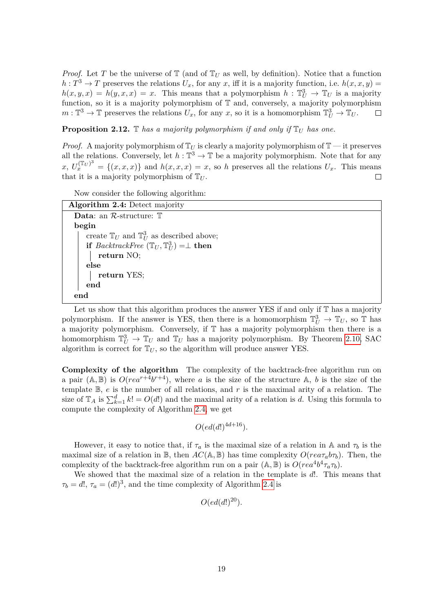*Proof.* Let T be the universe of  $\mathbb{T}$  (and of  $\mathbb{T}_U$  as well, by definition). Notice that a function  $h: T^3 \to T$  preserves the relations  $U_x$ , for any *x*, iff it is a majority function, i.e.  $h(x, x, y) =$  $h(x, y, x) = h(y, x, x) = x$ . This means that a polymorphism  $h: \mathbb{T}_U^3 \to \mathbb{T}_U$  is a majority function, so it is a majority polymorphism of T and, conversely, a majority polymorphism  $m: \mathbb{T}^3 \to \mathbb{T}$  preserves the relations  $U_x$ , for any *x*, so it is a homomorphism  $\mathbb{T}^3_U \to \mathbb{T}_U$ .  $\Box$ 

<span id="page-20-1"></span>**Proposition 2.12.**  $\mathbb{T}$  *has a majority polymorphism if and only if*  $\mathbb{T}_U$  *has one.* 

*Proof.* A majority polymorphism of  $\mathbb{T}_U$  is clearly a majority polymorphism of  $\mathbb{T}$  — it preserves all the relations. Conversely, let  $h : \mathbb{T}^3 \to \mathbb{T}$  be a majority polymorphism. Note that for any  $x, U_x^{(\mathbb{T}_U)^3} = \{(x, x, x)\}\$ and  $h(x, x, x) = x$ , so *h* preserves all the relations  $U_x$ . This means that it is a majority polymorphism of  $\mathbb{T}_U$ .  $\Box$ 

Now consider the following algorithm:

| <b>Algorithm 2.4:</b> Detect majority                                 |
|-----------------------------------------------------------------------|
| <b>Data:</b> an $\mathcal{R}$ -structure: $\mathbb{T}$                |
| begin                                                                 |
| create $\mathbb{T}_U$ and $\mathbb{T}_U^3$ as described above;        |
| if <i>BacktrackFree</i> $(\mathbb{T}_U, \mathbb{T}_U^3) = \perp$ then |
| return NO;                                                            |
| else                                                                  |
| return YES;                                                           |
| end                                                                   |
| end                                                                   |

<span id="page-20-0"></span>Let us show that this algorithm produces the answer YES if and only if T has a majority polymorphism. If the answer is YES, then there is a homomorphism  $\mathbb{T}_U^3 \to \mathbb{T}_U$ , so  $\mathbb{T}$  has a majority polymorphism. Conversely, if T has a majority polymorphism then there is a homomorphism  $\mathbb{T}_{U}^{3} \to \mathbb{T}_{U}$  and  $\mathbb{T}_{U}$  has a majority polymorphism. By Theorem [2.10,](#page-18-0) SAC algorithm is correct for  $\mathbb{T}_U$ , so the algorithm will produce answer YES.

**Complexity of the algorithm** The complexity of the backtrack-free algorithm run on a pair  $(A, B)$  is  $O(rea^{r+4}b^{r+4})$ , where *a* is the size of the structure A, *b* is the size of the template B, *e* is the number of all relations, and *r* is the maximal arity of a relation. The size of  $\mathbb{T}_A$  is  $\sum_{k=1}^d k! = O(d!)$  and the maximal arity of a relation is *d*. Using this formula to compute the complexity of Algorithm [2.4,](#page-20-0) we get

 $O(ed(d!)^{4d+16})$ *.* 

However, it easy to notice that, if  $\tau_a$  is the maximal size of a relation in A and  $\tau_b$  is the maximal size of a relation in  $\mathbb{B}$ , then  $AC(\mathbb{A}, \mathbb{B})$  has time complexity  $O(rea\tau_a b\tau_b)$ . Then, the complexity of the backtrack-free algorithm run on a pair  $(A, B)$  is  $O(rea^4b^4\tau_a\tau_b)$ .

We showed that the maximal size of a relation in the template is *d*!. This means that  $\tau_b = d!$ ,  $\tau_a = (d!)^3$ , and the time complexity of Algorithm [2.4](#page-20-0) is

$$
O(ed(d!)^{20}).
$$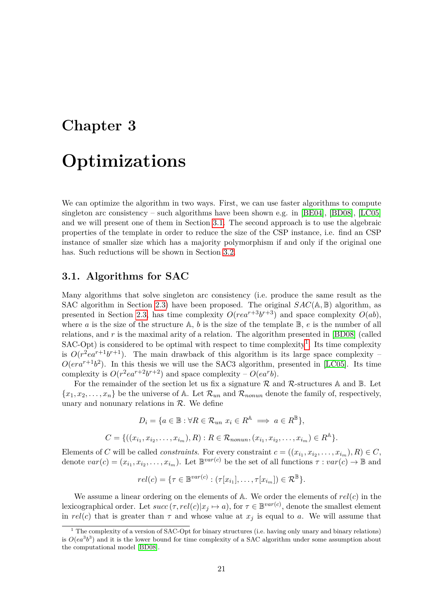# <span id="page-22-0"></span>**Chapter 3**

# **Optimizations**

We can optimize the algorithm in two ways. First, we can use faster algorithms to compute singleton arc consistency – such algorithms have been shown e.g. in [\[BE04\]](#page-46-10), [\[BD08\]](#page-46-11), [\[LC05\]](#page-46-3) and we will present one of them in Section [3.1.](#page-22-1) The second approach is to use the algebraic properties of the template in order to reduce the size of the CSP instance, i.e. find an CSP instance of smaller size which has a majority polymorphism if and only if the original one has. Such reductions will be shown in Section [3.2.](#page-25-0)

#### <span id="page-22-1"></span>**3.1. Algorithms for SAC**

Many algorithms that solve singleton arc consistency (i.e. produce the same result as the SAC algorithm in Section [2.3\)](#page-16-0) have been proposed. The original *SAC*(A*,* B) algorithm, as presented in Section [2.3,](#page-16-0) has time complexity  $O(rea^{r+3}b^{r+3})$  and space complexity  $O(ab)$ , where *a* is the size of the structure  $\mathbb{A}$ , *b* is the size of the template  $\mathbb{B}$ , *e* is the number of all relations, and *r* is the maximal arity of a relation. The algorithm presented in [\[BD08\]](#page-46-11) (called  $SAC-Opt$ ) is considered to be optimal with respect to time complexity<sup>[1](#page-22-2)</sup>. Its time complexity is  $O(r^2ea^{r+1}b^{r+1})$ . The main drawback of this algorithm is its large space complexity –  $O(\epsilon r a^{r+1} b^2)$ . In this thesis we will use the SAC3 algorithm, presented in [\[LC05\]](#page-46-3). Its time complexity is  $O(r^2ea^{r+2}b^{r+2})$  and space complexity –  $O(ea^rb)$ .

For the remainder of the section let us fix a signature  $R$  and  $R$ -structures A and  $\mathbb B$ . Let  ${x_1, x_2, \ldots, x_n}$  be the universe of A. Let  $\mathcal{R}_{un}$  and  $\mathcal{R}_{nonun}$  denote the family of, respectively, unary and nonunary relations in  $R$ . We define

$$
D_i = \{a \in \mathbb{B} : \forall R \in \mathcal{R}_{un} \ x_i \in R^{\mathbb{A}} \implies a \in R^{\mathbb{B}}\},
$$
  

$$
C = \{((x_{i_1}, x_{i_2}, \dots, x_{i_m}), R) : R \in \mathcal{R}_{nonun}, (x_{i_1}, x_{i_2}, \dots, x_{i_m}) \in R^{\mathbb{A}}\}.
$$

Elements of *C* will be called *constraints*. For every constraint  $c = ((x_{i_1}, x_{i_2}, \ldots, x_{i_m}), R) \in C$ , denote  $var(c) = (x_{i_1}, x_{i_2}, \dots, x_{i_m})$ . Let  $\mathbb{B}^{var(c)}$  be the set of all functions  $\tau : var(c) \to \mathbb{B}$  and

$$
rel(c) = \{ \tau \in \mathbb{B}^{var(c)} : (\tau[x_{i_1}], \ldots, \tau[x_{i_m}]) \in \mathcal{R}^{\mathbb{B}} \}.
$$

We assume a linear ordering on the elements of A. We order the elements of *rel*(*c*) in the lexicographical order. Let  $succ(\tau, rel(c)|x_j \mapsto a)$ , for  $\tau \in \mathbb{B}^{var(c)}$ , denote the smallest element in  $rel(c)$  that is greater than  $\tau$  and whose value at  $x_j$  is equal to *a*. We will assume that

<span id="page-22-2"></span><sup>&</sup>lt;sup>1</sup> The complexity of a version of SAC-Opt for binary structures (i.e. having only unary and binary relations) is  $O(ea^3b^3)$  and it is the lower bound for time complexity of a SAC algorithm under some assumption about the computational model [\[BD08\]](#page-46-11).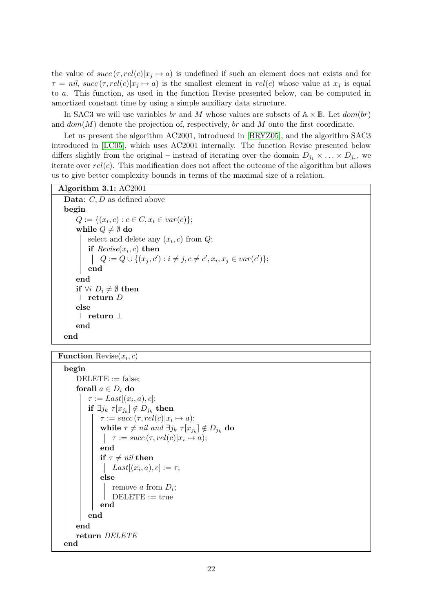the value of  $succ(\tau, rel(c)|x_j \mapsto a)$  is undefined if such an element does not exists and for  $\tau = nil$ ,  $succ(\tau, rel(c)|x_j \mapsto a)$  is the smallest element in  $rel(c)$  whose value at  $x_j$  is equal to *a*. This function, as used in the function Revise presented below, can be computed in amortized constant time by using a simple auxiliary data structure.

In SAC3 we will use variables *br* and *M* whose values are subsets of  $A \times B$ . Let  $dom(br)$ and *dom*(*M*) denote the projection of, respectively, *br* and *M* onto the first coordinate.

Let us present the algorithm AC2001, introduced in [\[BRYZ05\]](#page-46-12), and the algorithm SAC3 introduced in [\[LC05\]](#page-46-3), which uses AC2001 internally. The function Revise presented below differs slightly from the original – instead of iterating over the domain  $D_{j_1} \times \ldots \times D_{j_r}$ , we iterate over *rel*(*c*). This modification does not affect the outcome of the algorithm but allows us to give better complexity bounds in terms of the maximal size of a relation.

| Algorithm $3.1: AC2001$                                                  |  |  |  |  |
|--------------------------------------------------------------------------|--|--|--|--|
| <b>Data:</b> $C, D$ as defined above                                     |  |  |  |  |
| begin                                                                    |  |  |  |  |
| $Q := \{(x_i, c) : c \in C, x_i \in var(c)\};\$                          |  |  |  |  |
| while $Q \neq \emptyset$ do                                              |  |  |  |  |
| select and delete any $(x_i, c)$ from $Q$ ;                              |  |  |  |  |
| if $Reviewe(x_i, c)$ then                                                |  |  |  |  |
| $Q := Q \cup \{(x_j, c') : i \neq j, c \neq c', x_i, x_j \in var(c')\};$ |  |  |  |  |
| end                                                                      |  |  |  |  |
| end                                                                      |  |  |  |  |
| if $\forall i \ D_i \neq \emptyset$ then                                 |  |  |  |  |
| return $D$                                                               |  |  |  |  |
| else                                                                     |  |  |  |  |
| return $\perp$                                                           |  |  |  |  |
| end                                                                      |  |  |  |  |
| end                                                                      |  |  |  |  |

**Function** Revise(*x<sup>i</sup> , c*)

```
begin
    DELETE := false;forall a \in D_i do
          \tau := Last[(x_i, a), c];\textbf{if} \exists j_k \ \tau[x_{j_k}] \notin D_{j_k} then
               \tau := succ(\tau, rel(c)|x_i \mapsto a);\mathbf{while} \ \tau \neq nil \ and \ \exists j_k \ \tau[x_{j_k}] \notin D_{j_k} \ \mathbf{do}\tau := succ(\tau, rel(c)|x_i \mapsto a);end
              if \tau \neq nil then
                    Last[(x_i, a), c] := \tau;else
                    remove a from Di
;
                   DELETE := trueend
          end
     end
    return DELETE
end
```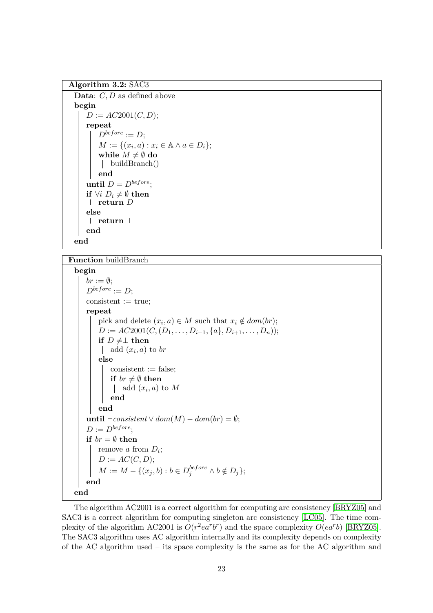**Algorithm 3.2:** SAC3

```
Data: C, D as defined above
begin
   D := AC2001(C, D);repeat
       D^{before} := D;
       M := {(x_i, a) : x_i ∈ \mathbb{A} \land a \in D_i};
       while M \neq \emptyset do
        | buildBranch()
       end
   until D = D^{before};
   if ∀i D_i ≠ ∅ then
    return D
   else
    return ⊥
   end
end
```
#### **Function** buildBranch

#### **begin**

```
br := \emptyset;
    D^{before} := D;consistent := true;repeat
        pick and delete (x_i, a) \in M such that x_i \notin dom(br);
        D := AC2001(C, (D_1, \ldots, D_{i-1}, \{a\}, D_{i+1}, \ldots, D_n));if D ≠ ⊥ then
            add (x_i, a) to br
        else
            consistent := false;if br \neq \emptyset then
                add (x_i, a) to Mend
        end
    until \neg consistent \lor dom(M) - dom(br) = ∅;D := D^{before}if br = \emptyset then
        remove a from Di
;
        D := AC(C, D);M := M - \{(x_j, b) : b \in D_j^{before} \land b \notin D_j\};\end
end
```
The algorithm AC2001 is a correct algorithm for computing arc consistency [\[BRYZ05\]](#page-46-12) and SAC3 is a correct algorithm for computing singleton arc consistency [\[LC05\]](#page-46-3). The time complexity of the algorithm AC2001 is  $O(r^2ea^rb^r)$  and the space complexity  $O(ea^rb)$  [\[BRYZ05\]](#page-46-12). The SAC3 algorithm uses AC algorithm internally and its complexity depends on complexity of the AC algorithm used – its space complexity is the same as for the AC algorithm and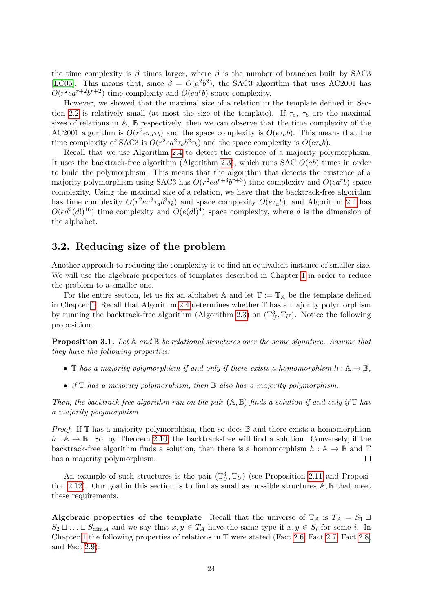the time complexity is  $\beta$  times larger, where  $\beta$  is the number of branches built by SAC3 [\[LC05\]](#page-46-3). This means that, since  $\beta = O(a^2b^2)$ , the SAC3 algorithm that uses AC2001 has  $O(r^2ea^{r+2}b^{r+2})$  time complexity and  $O(ea^rb)$  space complexity.

However, we showed that the maximal size of a relation in the template defined in Sec-tion [2.2](#page-14-0) is relatively small (at most the size of the template). If  $\tau_a$ ,  $\tau_b$  are the maximal sizes of relations in A, B respectively, then we can observe that the time complexity of the AC2001 algorithm is  $O(r^2 e \tau_a \tau_b)$  and the space complexity is  $O(e \tau_a b)$ . This means that the time complexity of SAC3 is  $O(r^2ea^2\tau_a b^2\tau_b)$  and the space complexity is  $O(e\tau_a b)$ .

Recall that we use Algorithm [2.4](#page-20-0) to detect the existence of a majority polymorphism. It uses the backtrack-free algorithm (Algorithm [2.3\)](#page-19-0), which runs SAC *O*(*ab*) times in order to build the polymorphism. This means that the algorithm that detects the existence of a majority polymorphism using SAC3 has  $O(r^2ea^{r+3}b^{r+3})$  time complexity and  $O(ea^rb)$  space complexity. Using the maximal size of a relation, we have that the backtrack-free algorithm has time complexity  $O(r^2ea^3\tau_a b^3\tau_b)$  and space complexity  $O(e\tau_a b)$ , and Algorithm [2.4](#page-20-0) has  $O(ed^2(d!)^{16})$  time complexity and  $O(e(d!)^4)$  space complexity, where *d* is the dimension of the alphabet.

#### <span id="page-25-0"></span>**3.2. Reducing size of the problem**

Another approach to reducing the complexity is to find an equivalent instance of smaller size. We will use the algebraic properties of templates described in Chapter [1](#page-8-0) in order to reduce the problem to a smaller one.

For the entire section, let us fix an alphabet  $A$  and let  $\mathbb{T} := \mathbb{T}_A$  be the template defined in Chapter [1.](#page-8-0) Recall that Algorithm [2.4](#page-20-0) determines whether T has a majority polymorphism by running the backtrack-free algorithm (Algorithm [2.3\)](#page-19-0) on  $(\mathbb{T}_U^3, \mathbb{T}_U)$ . Notice the following proposition.

<span id="page-25-1"></span>**Proposition 3.1.** *Let* A *and* B *be relational structures over the same signature. Assume that they have the following properties:*

- T has a majority polymorphism if and only if there exists a homomorphism  $h : \mathbb{A} \to \mathbb{B}$ ,
- *if* T *has a majority polymorphism, then* B *also has a majority polymorphism.*

*Then, the backtrack-free algorithm run on the pair* (A*,* B) *finds a solution if and only if* T *has a majority polymorphism.*

*Proof.* If T has a majority polymorphism, then so does  $\mathbb B$  and there exists a homomorphism  $h : \mathbb{A} \to \mathbb{B}$ . So, by Theorem [2.10,](#page-18-0) the backtrack-free will find a solution. Conversely, if the backtrack-free algorithm finds a solution, then there is a homomorphism  $h : \mathbb{A} \to \mathbb{B}$  and T has a majority polymorphism.  $\Box$ 

An example of such structures is the pair  $(\mathbb{T}_U^3, \mathbb{T}_U)$  (see Proposition [2.11](#page-19-1) and Proposition [2.12\)](#page-20-1). Our goal in this section is to find as small as possible structures A*,* B that meet these requirements.

**Algebraic properties of the template** Recall that the universe of  $\mathbb{T}_A$  is  $T_A = S_1 \sqcup$  $S_2 \sqcup \ldots \sqcup S_{\dim A}$  and we say that  $x, y \in T_A$  have the same type if  $x, y \in S_i$  for some *i*. In Chapter [1](#page-8-0) the following properties of relations in  $\mathbb T$  were stated (Fact [2.6,](#page-15-1) Fact [2.7,](#page-15-2) Fact [2.8,](#page-16-3) and Fact [2.9\)](#page-16-1):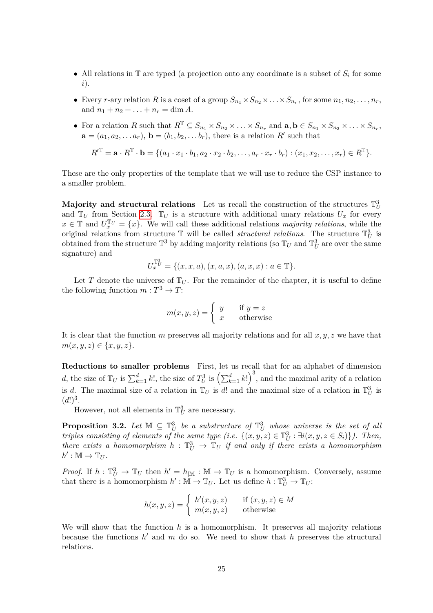- All relations in  $\mathbb T$  are typed (a projection onto any coordinate is a subset of  $S_i$  for some *i*).
- Every *r*-ary relation *R* is a coset of a group  $S_{n_1} \times S_{n_2} \times \ldots \times S_{n_r}$ , for some  $n_1, n_2, \ldots, n_r$ , and  $n_1 + n_2 + \ldots + n_r = \dim A$ .
- For a relation R such that  $R^T \subseteq S_{n_1} \times S_{n_2} \times \ldots \times S_{n_r}$  and  $\mathbf{a}, \mathbf{b} \in S_{n_1} \times S_{n_2} \times \ldots \times S_{n_r}$ ,  $\mathbf{a} = (a_1, a_2, \dots, a_r)$ ,  $\mathbf{b} = (b_1, b_2, \dots, b_r)$ , there is a relation  $R'$  such that

$$
R'^{\mathbb{T}} = \mathbf{a} \cdot R^{\mathbb{T}} \cdot \mathbf{b} = \{ (a_1 \cdot x_1 \cdot b_1, a_2 \cdot x_2 \cdot b_2, \dots, a_r \cdot x_r \cdot b_r) : (x_1, x_2, \dots, x_r) \in R^{\mathbb{T}} \}.
$$

These are the only properties of the template that we will use to reduce the CSP instance to a smaller problem.

Majority and structural relations Let us recall the construction of the structures  $\mathbb{T}^3_U$ and  $\mathbb{T}_U$  from Section [2.3.](#page-16-0)  $\mathbb{T}_U$  is a structure with additional unary relations  $U_x$  for every  $x \in \mathbb{T}$  and  $U_x^{\mathbb{T}U} = \{x\}$ . We will call these additional relations *majority relations*, while the original relations from structure  $\mathbb{T}$  will be called *structural relations*. The structure  $\mathbb{T}_{U}^{3}$  is obtained from the structure  $\mathbb{T}^3$  by adding majority relations (so  $\mathbb{T}_U$  and  $\mathbb{T}_U^3$  are over the same signature) and

$$
U_x^{\mathbb{T}^3_U} = \{(x, x, a), (x, a, x), (a, x, x) : a \in \mathbb{T}\}.
$$

Let *T* denote the universe of  $\mathbb{T}_U$ . For the remainder of the chapter, it is useful to define the following function  $m: T^3 \to T$ :

$$
m(x, y, z) = \begin{cases} y & \text{if } y = z \\ x & \text{otherwise} \end{cases}
$$

It is clear that the function *m* preserves all majority relations and for all *x, y, z* we have that  $m(x, y, z) \in \{x, y, z\}.$ 

**Reductions to smaller problems** First, let us recall that for an alphabet of dimension d, the size of  $\mathbb{T}_U$  is  $\sum_{k=1}^d k!$ , the size of  $T_U^3$  is  $\left(\sum_{k=1}^d k!\right)^3$ , and the maximal arity of a relation is *d*. The maximal size of a relation in  $\mathbb{T}_U$  is *d*! and the maximal size of a relation in  $\mathbb{T}_U^3$  is  $(d!)^3$ .

However, not all elements in  $\mathbb{T}^3_U$  are necessary.

**Proposition 3.2.** Let  $\mathbb{M} \subseteq \mathbb{T}_U^3$  be a substructure of  $\mathbb{T}_U^3$  whose universe is the set of all *triples consisting of elements of the same type (i.e.*  $\{(x, y, z) \in \mathbb{T}_U^3 : \exists i (x, y, z \in S_i)\}\)$ ). Then, *there exists a homomorphism*  $h : \mathbb{T}^3_U \to \mathbb{T}_U$  *if and only if there exists a homomorphism*  $h': \mathbb{M} \to \mathbb{T}_U$ .

*Proof.* If  $h: \mathbb{T}_U^3 \to \mathbb{T}_U$  then  $h' = h_{\mathbb{M}}: \mathbb{M} \to \mathbb{T}_U$  is a homomorphism. Conversely, assume that there is a homomorphism  $h': \mathbb{M} \to \mathbb{T}_U$ . Let us define  $h: \mathbb{T}_U^3 \to \mathbb{T}_U$ :

$$
h(x, y, z) = \begin{cases} h'(x, y, z) & \text{if } (x, y, z) \in M \\ m(x, y, z) & \text{otherwise} \end{cases}
$$

We will show that the function *h* is a homomorphism. It preserves all majority relations because the functions  $h'$  and  $m$  do so. We need to show that  $h$  preserves the structural relations.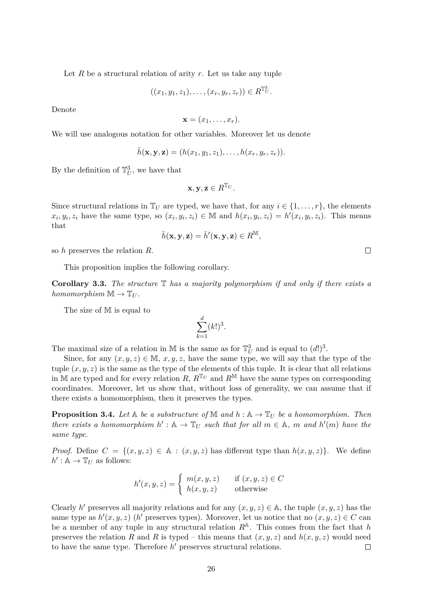Let  $R$  be a structural relation of arity  $r$ . Let us take any tuple

$$
((x_1,y_1,z_1),\ldots,(x_r,y_r,z_r)) \in R^{\mathbb{T}^3_U}.
$$

Denote

$$
\mathbf{x}=(x_1,\ldots,x_r).
$$

We will use analogous notation for other variables. Moreover let us denote

$$
\bar{h}(\mathbf{x},\mathbf{y},\mathbf{z})=(h(x_1,y_1,z_1),\ldots,h(x_r,y_r,z_r)).
$$

By the definition of  $\mathbb{T}_U^3$ , we have that

$$
\mathbf{x}, \mathbf{y}, \mathbf{z} \in R^{\mathbb{T}_U}.
$$

Since structural relations in  $\mathbb{T}_U$  are typed, we have that, for any  $i \in \{1, \ldots, r\}$ , the elements  $x_i, y_i, z_i$  have the same type, so  $(x_i, y_i, z_i) \in \mathbb{M}$  and  $h(x_i, y_i, z_i) = h'(x_i, y_i, z_i)$ . This means that

$$
\bar{h}(\mathbf{x}, \mathbf{y}, \mathbf{z}) = \bar{h}'(\mathbf{x}, \mathbf{y}, \mathbf{z}) \in R^{\mathbb{M}},
$$

so *h* preserves the relation *R*.

This proposition implies the following corollary.

<span id="page-27-1"></span>**Corollary 3.3.** *The structure* T *has a majority polymorphism if and only if there exists a homomorphism*  $\mathbb{M} \to \mathbb{T}_{U}$ .

The size of M is equal to

$$
\sum_{k=1}^d (k!)^3.
$$

The maximal size of a relation in M is the same as for  $\mathbb{T}_U^3$  and is equal to  $(d!)^3$ .

Since, for any  $(x, y, z) \in M$ ,  $x, y, z$ , have the same type, we will say that the type of the tuple  $(x, y, z)$  is the same as the type of the elements of this tuple. It is clear that all relations in M are typed and for every relation *R*,  $R^{\mathbb{T}_U}$  and  $R^{\mathbb{M}}$  have the same types on corresponding coordinates. Moreover, let us show that, without loss of generality, we can assume that if there exists a homomorphism, then it preserves the types.

<span id="page-27-0"></span>**Proposition 3.4.** Let  $A$  be a substructure of  $M$  and  $h : A \to T_U$  be a homomorphism. Then *there exists a homomorphism*  $h' : A \to \mathbb{T}_U$  *such that for all*  $m \in A$ *, m and*  $h'(m)$  *have the same type.*

*Proof.* Define  $C = \{(x, y, z) \in \mathbb{A} : (x, y, z) \text{ has different type than } h(x, y, z)\}.$  We define  $h': \mathbb{A} \to \mathbb{T}_U$  as follows:

$$
h'(x, y, z) = \begin{cases} m(x, y, z) & \text{if } (x, y, z) \in C \\ h(x, y, z) & \text{otherwise} \end{cases}
$$

Clearly *h*' preserves all majority relations and for any  $(x, y, z) \in A$ , the tuple  $(x, y, z)$  has the same type as  $h'(x, y, z)$  ( $h'$  preserves types). Moreover, let us notice that no  $(x, y, z) \in C$  can be a member of any tuple in any structural relation  $R^{\mathbb{A}}$ . This comes from the fact that *h* preserves the relation *R* and *R* is typed – this means that  $(x, y, z)$  and  $h(x, y, z)$  would need to have the same type. Therefore  $h'$  preserves structural relations.  $\Box$ 

 $\Box$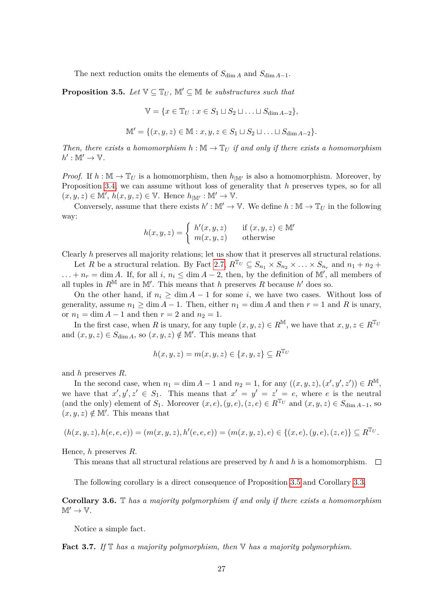The next reduction omits the elements of  $S_{\dim A}$  and  $S_{\dim A-1}$ .

<span id="page-28-0"></span>**Proposition 3.5.** *Let*  $V \subseteq T_U$ ,  $M' \subseteq M$  *be substructures such that* 

$$
\mathbb{V} = \{x \in \mathbb{T}_U : x \in S_1 \sqcup S_2 \sqcup \ldots \sqcup S_{\dim A - 2}\},\
$$

$$
\mathbb{M}' = \{ (x, y, z) \in \mathbb{M} : x, y, z \in S_1 \sqcup S_2 \sqcup \ldots \sqcup S_{\dim A - 2} \}.
$$

*Then, there exists a homomorphism*  $h : \mathbb{M} \to \mathbb{T}_U$  *if and only if there exists a homomorphism*  $h': \mathbb{M}' \to \mathbb{V}$ .

*Proof.* If  $h : \mathbb{M} \to \mathbb{T}_U$  is a homomorphism, then  $h_{\mathbb{M}'}$  is also a homomorphism. Moreover, by Proposition [3.4,](#page-27-0) we can assume without loss of generality that *h* preserves types, so for all  $(x, y, z) \in M', h(x, y, z) \in V.$  Hence  $h_{\vert M'} : M' \to V.$ 

Conversely, assume that there exists  $h': \mathbb{M}' \to \mathbb{V}$ . We define  $h : \mathbb{M} \to \mathbb{T}_U$  in the following way:

$$
h(x, y, z) = \begin{cases} h'(x, y, z) & \text{if } (x, y, z) \in \mathbb{M}^{\prime} \\ m(x, y, z) & \text{otherwise} \end{cases}
$$

Clearly *h* preserves all majority relations; let us show that it preserves all structural relations.

Let *R* be a structural relation. By Fact [2.7,](#page-15-2)  $R^{\mathbb{T}_U} \subseteq S_{n_1} \times S_{n_2} \times \ldots \times S_{n_r}$  and  $n_1 + n_2 +$  $\ldots + n_r = \dim A$ . If, for all *i*,  $n_i \leq \dim A - 2$ , then, by the definition of M', all members of all tuples in  $R^{\mathbb{M}}$  are in  $\mathbb{M}'$ . This means that *h* preserves *R* because *h*' does so.

On the other hand, if  $n_i \geq \dim A - 1$  for some *i*, we have two cases. Without loss of generality, assume  $n_1 \geq \dim A - 1$ . Then, either  $n_1 = \dim A$  and then  $r = 1$  and R is unary, or  $n_1 = \dim A - 1$  and then  $r = 2$  and  $n_2 = 1$ .

In the first case, when *R* is unary, for any tuple  $(x, y, z) \in R^{\mathbb{M}}$ , we have that  $x, y, z \in R^{\mathbb{T}_U}$ and  $(x, y, z) \in S_{\dim A}$ , so  $(x, y, z) \notin M'$ . This means that

$$
h(x, y, z) = m(x, y, z) \in \{x, y, z\} \subseteq R^{\mathbb{T}_U}
$$

and *h* preserves *R*.

In the second case, when  $n_1 = \dim A - 1$  and  $n_2 = 1$ , for any  $((x, y, z), (x', y', z')) \in R^{\mathbb{M}}$ , we have that  $x', y', z' \in S_1$ . This means that  $x' = y' = z' = e$ , where *e* is the neutral (and the only) element of  $S_1$ . Moreover  $(x, e), (y, e), (z, e) \in R^{\mathbb{T}_U}$  and  $(x, y, z) \in S_{\dim A - 1}$ , so  $(x, y, z) \notin M'.$  This means that

$$
(h(x,y,z),h(e,e,e))=(m(x,y,z),h'(e,e,e))=(m(x,y,z),e)\in\{(x,e),(y,e),(z,e)\}\subseteq R^{\mathbb{T}_U}.
$$

Hence, *h* preserves *R*.

This means that all structural relations are preserved by  $h$  and  $h$  is a homomorphism.  $\Box$ 

The following corollary is a direct consequence of Proposition [3.5](#page-28-0) and Corollary [3.3.](#page-27-1)

**Corollary 3.6.** T *has a majority polymorphism if and only if there exists a homomorphism*  $M' \to V$ .

Notice a simple fact.

<span id="page-28-1"></span>**Fact 3.7.** *If* T *has a majority polymorphism, then* V *has a majority polymorphism.*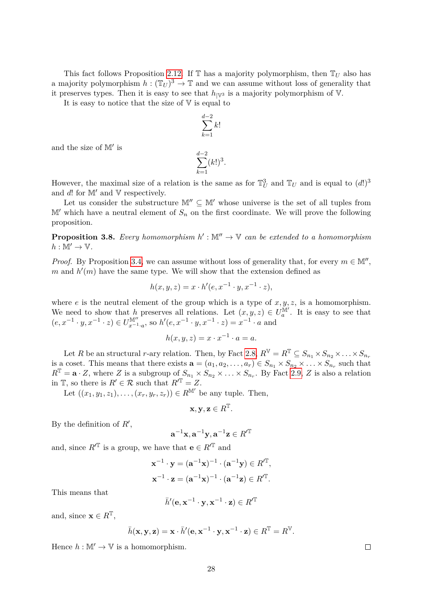This fact follows Proposition [2.12.](#page-20-1) If  $\mathbb T$  has a majority polymorphism, then  $\mathbb T_U$  also has a majority polymorphism  $h: (\mathbb{T}_U)^3 \to \mathbb{T}$  and we can assume without loss of generality that it preserves types. Then it is easy to see that  $h_{\mathbb{V}^3}$  is a majority polymorphism of V.

It is easy to notice that the size of  $V$  is equal to

$$
\sum_{k=1}^{d-2} k!
$$

and the size of  $\mathbb{M}'$  is

$$
\sum_{k=1}^{d-2} (k!)^3.
$$

However, the maximal size of a relation is the same as for  $\mathbb{T}_U^3$  and  $\mathbb{T}_U$  and is equal to  $(d!)^3$ and  $d!$  for  $\mathbb{M}'$  and  $\mathbb{V}$  respectively.

Let us consider the substructure  $\mathbb{M}'' \subseteq \mathbb{M}'$  whose universe is the set of all tuples from  $\mathbb{M}'$  which have a neutral element of  $S_n$  on the first coordinate. We will prove the following proposition.

<span id="page-29-0"></span>**Proposition 3.8.** Every homomorphism  $h': \mathbb{M}'' \to \mathbb{V}$  can be extended to a homomorphism  $h: \mathbb{M}' \to \mathbb{V}$ .

*Proof.* By Proposition [3.4,](#page-27-0) we can assume without loss of generality that, for every  $m \in M''$ ,  $m$  and  $h'(m)$  have the same type. We will show that the extension defined as

$$
h(x, y, z) = x \cdot h'(e, x^{-1} \cdot y, x^{-1} \cdot z),
$$

where  $e$  is the neutral element of the group which is a type of  $x, y, z$ , is a homomorphism. We need to show that *h* preserves all relations. Let  $(x, y, z) \in U_a^{\mathbb{M}^d}$  $a^{\text{TM}}$ . It is easy to see that  $(e, x<sup>-1</sup> ⋅ y, x<sup>-1</sup> ⋅ z) ∈ U<sub>x-1</sub><sup>M''</sup>$ *x*<sup>−1</sup><sub>*·a*</sub>, so *h'*(*e*, *x*<sup>−1</sup> · *y*, *x*<sup>−1</sup> · *z*) = *x*<sup>−1</sup> · *a* and

$$
h(x, y, z) = x \cdot x^{-1} \cdot a = a.
$$

Let *R* be an structural *r*-ary relation. Then, by Fact [2.8,](#page-16-3)  $R^{\mathbb{V}} = R^{\mathbb{T}} \subseteq S_{n_1} \times S_{n_2} \times \ldots \times S_{n_r}$ is a coset. This means that there exists  $\mathbf{a} = (a_1, a_2, \dots, a_r) \in S_{n_1} \times S_{n_2} \times \dots \times S_{n_r}$  such that  $R^{\mathbb{T}} = \mathbf{a} \cdot Z$ , where *Z* is a subgroup of  $S_{n_1} \times S_{n_2} \times \ldots \times S_{n_r}$ . By Fact [2.9,](#page-16-1) *Z* is also a relation in  $\mathbb{T}$ , so there is  $R' \in \mathcal{R}$  such that  $R'^{\mathbb{T}} = Z$ .

Let  $((x_1, y_1, z_1), \ldots, (x_r, y_r, z_r)) \in R^{\mathbb{M}'}$  be any tuple. Then,

$$
\mathbf{x}, \mathbf{y}, \mathbf{z} \in R^{\mathbb{T}}.
$$

By the definition of  $R'$ ,

$$
\mathbf{a}^{-1}\mathbf{x}, \mathbf{a}^{-1}\mathbf{y}, \mathbf{a}^{-1}\mathbf{z} \in R'^{\mathbb{T}}
$$

and, since  $R'^{\mathbb{T}}$  is a group, we have that **e**  $\in R'^{\mathbb{T}}$  and

$$
\mathbf{x}^{-1} \cdot \mathbf{y} = (\mathbf{a}^{-1} \mathbf{x})^{-1} \cdot (\mathbf{a}^{-1} \mathbf{y}) \in R'^{\mathbb{T}},
$$
  

$$
\mathbf{x}^{-1} \cdot \mathbf{z} = (\mathbf{a}^{-1} \mathbf{x})^{-1} \cdot (\mathbf{a}^{-1} \mathbf{z}) \in R'^{\mathbb{T}}.
$$

This means that

$$
\bar{h}'(\mathbf{e}, \mathbf{x}^{-1} \cdot \mathbf{y}, \mathbf{x}^{-1} \cdot \mathbf{z}) \in R'^{\mathbb{T}}
$$

and, since  $\mathbf{x} \in R^T$ ,

$$
\bar{h}(\mathbf{x}, \mathbf{y}, \mathbf{z}) = \mathbf{x} \cdot \bar{h}'(\mathbf{e}, \mathbf{x}^{-1} \cdot \mathbf{y}, \mathbf{x}^{-1} \cdot \mathbf{z}) \in R^{\mathbb{T}} = R^{\mathbb{V}}.
$$

Hence  $h : \mathbb{M}' \to \mathbb{V}$  is a homomorphism.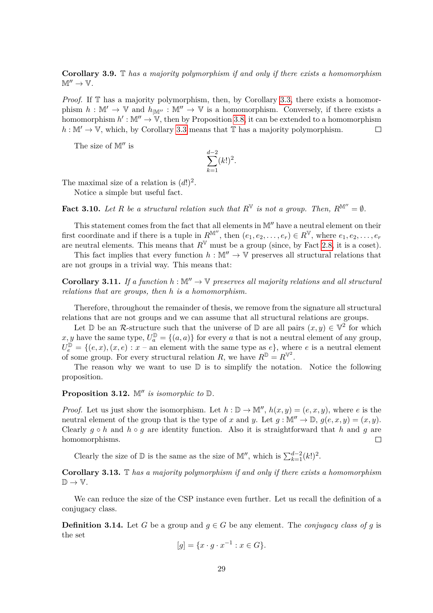**Corollary 3.9.** T *has a majority polymorphism if and only if there exists a homomorphism*  $\mathbb{M}'' \to \mathbb{V}$ .

*Proof.* If  $\mathbb T$  has a majority polymorphism, then, by Corollary [3.3,](#page-27-1) there exists a homomorphism  $h : \mathbb{M}' \to \mathbb{V}$  and  $h_{|\mathbb{M}''} : \mathbb{M}'' \to \mathbb{V}$  is a homomorphism. Conversely, if there exists a homomorphism  $h': \mathbb{M}'' \to \mathbb{V}$ , then by Proposition [3.8,](#page-29-0) it can be extended to a homomorphism  $h : \mathbb{M}' \to \mathbb{V}$ , which, by Corollary [3.3](#page-27-1) means that  $\mathbb{T}$  has a majority polymorphism.  $\Box$ 

The size of  $\mathbb{M}^{\prime\prime}$  is

$$
\sum_{k=1}^{d-2} (k!)^2.
$$

The maximal size of a relation is  $(d!)^2$ .

Notice a simple but useful fact.

**Fact 3.10.** Let R be a structural relation such that  $R^V$  is not a group. Then,  $R^{M''} = \emptyset$ .

This statement comes from the fact that all elements in  $\mathbb{M}''$  have a neutral element on their first coordinate and if there is a tuple in  $R^{\mathbb{M}'}$ , then  $(e_1, e_2, \ldots, e_r) \in R^{\mathbb{V}}$ , where  $e_1, e_2, \ldots, e_r$ are neutral elements. This means that  $R^V$  must be a group (since, by Fact [2.8,](#page-16-3) it is a coset).

This fact implies that every function  $h : \mathbb{M}^n \to \mathbb{V}$  preserves all structural relations that are not groups in a trivial way. This means that:

**Corollary 3.11.** If a function  $h : \mathbb{M}^n \to \mathbb{V}$  preserves all majority relations and all structural *relations that are groups, then h is a homomorphism.*

Therefore, throughout the remainder of thesis, we remove from the signature all structural relations that are not groups and we can assume that all structural relations are groups.

Let D be an R-structure such that the universe of D are all pairs  $(x, y) \in \mathbb{V}^2$  for which x, y have the same type,  $U_a^{\mathbb{D}} = \{(a, a)\}\$ for every a that is not a neutral element of any group,  $U_e^{\mathbb{D}} = \{(e, x), (x, e) : x$  – an element with the same type as  $e\}$ , where *e* is a neutral element of some group. For every structural relation *R*, we have  $R^{\mathbb{D}} = R^{\mathbb{V}^2}$ .

The reason why we want to use  $\mathbb D$  is to simplify the notation. Notice the following proposition.

**Proposition 3.12.**  $\mathbb{M}''$  *is isomorphic to*  $\mathbb{D}$ *.* 

*Proof.* Let us just show the isomorphism. Let  $h : \mathbb{D} \to \mathbb{M}$ ,  $h(x, y) = (e, x, y)$ , where *e* is the neutral element of the group that is the type of *x* and *y*. Let  $g : \mathbb{M}'' \to \mathbb{D}$ ,  $g(e, x, y) = (x, y)$ . Clearly  $q \circ h$  and  $h \circ q$  are identity function. Also it is straightforward that h and q are homomorphisms.  $\Box$ 

Clearly the size of  $\mathbb{D}$  is the same as the size of  $\mathbb{M}''$ , which is  $\sum_{k=1}^{d-2} (k!)^2$ .

**Corollary 3.13.** T *has a majority polymorphism if and only if there exists a homomorphism*  $\mathbb{D} \to \mathbb{V}$ .

We can reduce the size of the CSP instance even further. Let us recall the definition of a conjugacy class.

**Definition 3.14.** Let *G* be a group and  $q \in G$  be any element. The *conjugacy class of g* is the set

$$
[g] = \{x \cdot g \cdot x^{-1} : x \in G\}.
$$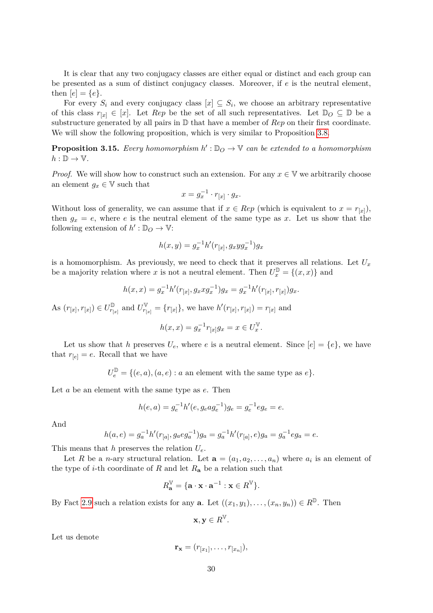It is clear that any two conjugacy classes are either equal or distinct and each group can be presented as a sum of distinct conjugacy classes. Moreover, if *e* is the neutral element, then  $[e] = \{e\}.$ 

For every  $S_i$  and every conjugacy class  $[x] \subseteq S_i$ , we choose an arbitrary representative of this class  $r_{[x]} \in [x]$ . Let *Rep* be the set of all such representatives. Let  $\mathbb{D}_O \subseteq \mathbb{D}$  be a substructure generated by all pairs in D that have a member of *Rep* on their first coordinate. We will show the following proposition, which is very similar to Proposition [3.8.](#page-29-0)

**Proposition 3.15.** Every homomorphism  $h': \mathbb{D}_O \to \mathbb{V}$  can be extended to a homomorphism  $h: \mathbb{D} \to \mathbb{V}$ .

*Proof.* We will show how to construct such an extension. For any  $x \in V$  we arbitrarily choose an element  $g_x \in \mathbb{V}$  such that

$$
x = g_x^{-1} \cdot r_{[x]} \cdot g_x.
$$

Without loss of generality, we can assume that if  $x \in Rep$  (which is equivalent to  $x = r_{[x]}$ ), then  $g_x = e$ , where *e* is the neutral element of the same type as *x*. Let us show that the following extension of  $h':\mathbb{D}_O \to \mathbb{V}$ :

$$
h(x,y) = g_x^{-1}h'(r_{[x]}, g_x y g_x^{-1})g_x
$$

is a homomorphism. As previously, we need to check that it preserves all relations. Let  $U_x$ be a majority relation where *x* is not a neutral element. Then  $U_x^{\mathbb{D}} = \{(x, x)\}\$ and

$$
h(x,x) = g_x^{-1}h'(r_{[x]}, g_x x g_x^{-1})g_x = g_x^{-1}h'(r_{[x]}, r_{[x]})g_x.
$$

As  $(r_{[x]}, r_{[x]}) \in U^{\mathbb{D}}_{r_{[x]}}$  $\frac{1}{r_{[x]}}$  and  $U_{r_{[x]}}^{\mathbb{V}}$  $r_{r[x]}^{\mathbb{V}} = \{r_{[x]}\}\$ , we have  $h'(r_{[x]}, r_{[x]}) = r_{[x]}$  and

$$
h(x, x) = g_x^{-1} r_{[x]} g_x = x \in U_x^{\mathbb{V}}.
$$

Let us show that *h* preserves  $U_e$ , where *e* is a neutral element. Since  $[e] = \{e\}$ , we have that  $r_{[e]} = e$ . Recall that we have

 $U_e^{\mathbb{D}} = \{(e, a), (a, e) : a \text{ an element with the same type as } e\}.$ 

Let *a* be an element with the same type as *e*. Then

$$
h(e, a) = g_e^{-1}h'(e, g_eag_e^{-1})g_e = g_e^{-1}eg_e = e.
$$

And

$$
h(a,e) = g_a^{-1}h'(r_{[a]}, g_aeg_a^{-1})g_a = g_a^{-1}h'(r_{[a]}, e)g_a = g_a^{-1}eg_a = e.
$$

This means that *h* preserves the relation *Ue*.

Let *R* be a *n*-ary structural relation. Let  $\mathbf{a} = (a_1, a_2, \dots, a_n)$  where  $a_i$  is an element of the type of *i*-th coordinate of *R* and let  $R_{a}$  be a relation such that

$$
R_{\mathbf{a}}^{\mathbb{V}} = \{ \mathbf{a} \cdot \mathbf{x} \cdot \mathbf{a}^{-1} : \mathbf{x} \in R^{\mathbb{V}} \}.
$$

By Fact [2.9](#page-16-1) such a relation exists for any **a**. Let  $((x_1, y_1), \ldots, (x_n, y_n)) \in R^{\mathbb{D}}$ . Then

$$
\mathbf{x}, \mathbf{y} \in R^{\mathbb{V}}.
$$

Let us denote

$$
\mathbf{r}_{\mathbf{x}}=(r_{[x_1]},\ldots,r_{[x_n]}),
$$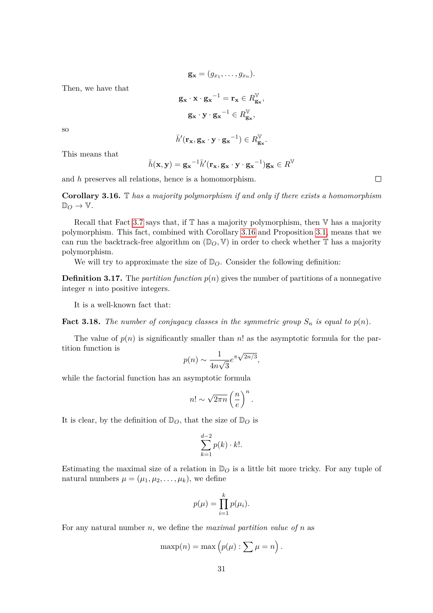$$
\mathbf{g}_{\mathbf{x}}=(g_{x_1},\ldots,g_{x_n}).
$$

Then, we have that

$$
\mathbf{g}_{\mathbf{x}} \cdot \mathbf{x} \cdot \mathbf{g}_{\mathbf{x}}^{-1} = \mathbf{r}_{\mathbf{x}} \in R_{\mathbf{g}_{\mathbf{x}}}^{\mathbb{V}},
$$

$$
\mathbf{g}_{\mathbf{x}} \cdot \mathbf{y} \cdot \mathbf{g}_{\mathbf{x}}^{-1} \in R_{\mathbf{g}_{\mathbf{x}}}^{\mathbb{V}},
$$

so

$$
\bar{h}'(\mathbf{r_x}, \mathbf{g_x} \cdot \mathbf{y} \cdot {\mathbf{g_x}}^{-1}) \in R_{\mathbf{g_x}}^{\mathbb{V}}.
$$

This means that

$$
\bar{h}(\mathbf{x}, \mathbf{y}) = \mathbf{g_x}^{-1} \bar{h}'(\mathbf{r_x}, \mathbf{g_x} \cdot \mathbf{y} \cdot \mathbf{g_x}^{-1}) \mathbf{g_x} \in R^{\mathbb{V}}
$$

and *h* preserves all relations, hence is a homomorphism.

<span id="page-32-0"></span>**Corollary 3.16.** T *has a majority polymorphism if and only if there exists a homomorphism*  $\mathbb{D}_O \to \mathbb{V}$ .

Recall that Fact [3.7](#page-28-1) says that, if  $\mathbb T$  has a majority polymorphism, then  $\mathbb V$  has a majority polymorphism. This fact, combined with Corollary [3.16](#page-32-0) and Proposition [3.1,](#page-25-1) means that we can run the backtrack-free algorithm on  $(\mathbb{D}_O, V)$  in order to check whether  $\mathbb T$  has a majority polymorphism.

We will try to approximate the size of  $\mathbb{D}_O$ . Consider the following definition:

**Definition 3.17.** The *partition function*  $p(n)$  gives the number of partitions of a nonnegative integer *n* into positive integers.

It is a well-known fact that:

**Fact 3.18.** The number of conjugacy classes in the symmetric group  $S_n$  is equal to  $p(n)$ .

The value of  $p(n)$  is significantly smaller than *n*! as the asymptotic formula for the partition function is √

$$
p(n) \sim \frac{1}{4n\sqrt{3}} e^{\pi\sqrt{2n/3}},
$$

while the factorial function has an asymptotic formula

$$
n! \sim \sqrt{2\pi n} \left(\frac{n}{e}\right)^n.
$$

It is clear, by the definition of  $\mathbb{D}_{\mathcal{O}}$ , that the size of  $\mathbb{D}_{\mathcal{O}}$  is

$$
\sum_{k=1}^{d-2} p(k) \cdot k!.
$$

Estimating the maximal size of a relation in  $\mathbb{D}_Q$  is a little bit more tricky. For any tuple of natural numbers  $\mu = (\mu_1, \mu_2, \dots, \mu_k)$ , we define

$$
p(\mu) = \prod_{i=1}^{k} p(\mu_i).
$$

For any natural number *n*, we define the *maximal partition value of n* as

$$
\maxp(n) = \max\left(p(\mu) : \sum \mu = n\right).
$$

 $\Box$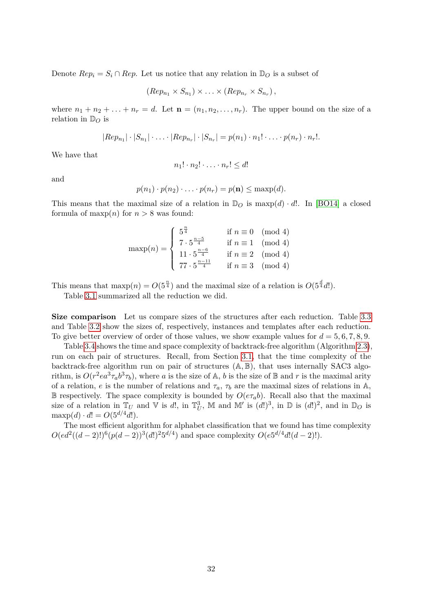Denote  $Rep_i = S_i \cap Rep$ . Let us notice that any relation in  $\mathbb{D}_O$  is a subset of

$$
(Rep_{n_1} \times S_{n_1}) \times \ldots \times (Rep_{n_r} \times S_{n_r}),
$$

where  $n_1 + n_2 + \ldots + n_r = d$ . Let  $\mathbf{n} = (n_1, n_2, \ldots, n_r)$ . The upper bound on the size of a relation in  $\mathbb{D}_O$  is

$$
|Rep_{n_1}| \cdot |S_{n_1}| \cdot \ldots \cdot |Rep_{n_r}| \cdot |S_{n_r}| = p(n_1) \cdot n_1! \cdot \ldots \cdot p(n_r) \cdot n_r!.
$$

We have that

$$
n_1! \cdot n_2! \cdot \ldots \cdot n_r! \leq d!
$$

and

$$
p(n_1)\cdot p(n_2)\cdot\ldots\cdot p(n_r)=p(\mathbf{n})\leq \max p(d).
$$

This means that the maximal size of a relation in  $\mathbb{D}_O$  is maxp $(d) \cdot d!$ . In [\[BO14\]](#page-46-13) a closed formula of maxp $(n)$  for  $n > 8$  was found:

$$
\maxp(n) = \begin{cases} 5^{\frac{n}{4}} & \text{if } n \equiv 0 \pmod{4} \\ 7 \cdot 5^{\frac{n-5}{4}} & \text{if } n \equiv 1 \pmod{4} \\ 11 \cdot 5^{\frac{n-6}{4}} & \text{if } n \equiv 2 \pmod{4} \\ 77 \cdot 5^{\frac{n-11}{4}} & \text{if } n \equiv 3 \pmod{4} \end{cases}
$$

This means that  $\max p(n) = O(5^{\frac{n}{4}})$  and the maximal size of a relation is  $O(5^{\frac{d}{4}}d!)$ .

Table [3.1](#page-34-0) summarized all the reduction we did.

**Size comparison** Let us compare sizes of the structures after each reduction. Table [3.3](#page-34-1) and Table [3.2](#page-34-2) show the sizes of, respectively, instances and templates after each reduction. To give better overview of order of those values, we show example values for  $d = 5, 6, 7, 8, 9$ .

Table [3.4](#page-34-3) shows the time and space complexity of backtrack-free algorithm (Algorithm [2.3\)](#page-19-0), run on each pair of structures. Recall, from Section [3.1,](#page-22-1) that the time complexity of the backtrack-free algorithm run on pair of structures (A*,* B), that uses internally SAC3 algorithm, is  $O(r^2ea^3\tau_a b^3\tau_b)$ , where *a* is the size of A, *b* is the size of B and *r* is the maximal arity of a relation, *e* is the number of relations and  $\tau_a$ ,  $\tau_b$  are the maximal sizes of relations in A, B respectively. The space complexity is bounded by  $O(e\tau_a b)$ . Recall also that the maximal size of a relation in  $\mathbb{T}_U$  and  $\mathbb{V}$  is d!, in  $\mathbb{T}_U^3$ ,  $\mathbb{M}$  and  $\mathbb{M}'$  is  $(d!)^3$ , in  $\mathbb{D}$  is  $(d!)^2$ , and in  $\mathbb{D}_O$  is  $\max p(d) \cdot d! = O(5^{d/4}d!).$ 

The most efficient algorithm for alphabet classification that we found has time complexity  $O(ed^2((d-2)!)^6(p(d-2))^3(d!)^25^{d/4})$  and space complexity  $O(e^{5d/4}d!(d-2)!)$ .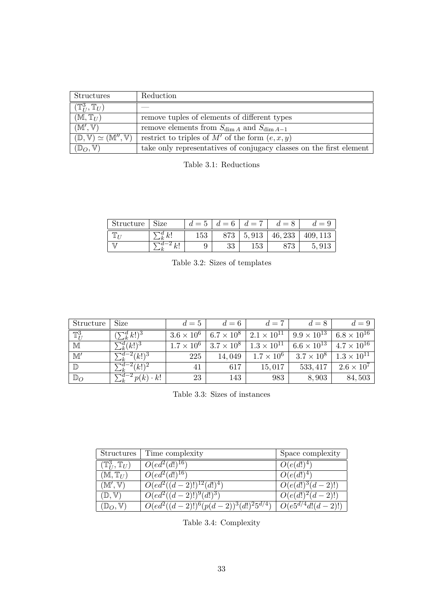| Structures                                                   | Reduction                                                           |
|--------------------------------------------------------------|---------------------------------------------------------------------|
| $(\mathbb{T}^3_{II},\mathbb{T}_U)$                           |                                                                     |
| $(M, T_U)$                                                   | remove tuples of elements of different types                        |
| (M', V)                                                      | remove elements from $S_{\dim A}$ and $S_{\dim A-1}$                |
| $(\mathbb{D}, \mathbb{V}) \simeq (\mathbb{M}'', \mathbb{V})$ | restrict to triples of M' of the form $(e, x, y)$                   |
| $(\mathbb{D}_O, \mathbb{V})$                                 | take only representatives of conjugacy classes on the first element |

<span id="page-34-0"></span>

| Structure   | Size                           | $d=5$ | $d=6$ | $d =$ | $d=8$   | $d =$    |
|-------------|--------------------------------|-------|-------|-------|---------|----------|
| <b>PTTN</b> | $\mathcal{A}$ $k$ <sup>1</sup> | 153   | 873   | 5,913 | 46, 233 | 409, 113 |
| IJ          | ,,,                            | ັ     | ಀಀ    | 153   |         | 5,91     |

<span id="page-34-2"></span>

|  |  |  |  | Table 3.2: Sizes of templates |
|--|--|--|--|-------------------------------|
|--|--|--|--|-------------------------------|

| Structure        | Size                                        | $d=5$             | $d=6$             | $d=7$                | $d=8$                | $d=9$                |
|------------------|---------------------------------------------|-------------------|-------------------|----------------------|----------------------|----------------------|
| $\mathbb{T}_U^3$ | $\sum_{k}^{d} k!)^3$                        | $3.6 \times 10^6$ | $6.7 \times 10^8$ | $2.1 \times 10^{11}$ | $9.9 \times 10^{13}$ | $6.8 \times 10^{16}$ |
| $\mathbb M$      | $\sum_{k}^{d} (k!)^3$                       | $1.7 \times 10^6$ | $3.7\times10^8$   | $1.3 \times 10^{11}$ | $6.6 \times 10^{13}$ | $4.7 \times 10^{16}$ |
| $\mathbb{M}'$    | $\sum_{k}^{d-2}(k!)^3$                      | 225               | 14,049            | $1.7 \times 10^6$    | $3.7 \times 10^8$    | $1.3 \times 10^{11}$ |
| $\mathbb{D}$     | $\sum_{k}^{d-2}(k!)^2$                      | 41                | 617               | 15,017               | 533, 417             | $2.6 \times 10^7$    |
| $\mathbb{D}_O$   | $\sqrt{d-2\,p(k)\cdot\kappa}$<br>$\cdot k!$ | 23                | 143               | 983                  | 8,903                | 84,503               |

<span id="page-34-1"></span>Table 3.3: Sizes of instances

| <b>Structures</b>                  | Time complexity                            | Space complexity              |
|------------------------------------|--------------------------------------------|-------------------------------|
| $(\mathbb{T}^3_{II},\mathbb{T}_U)$ | $O(ed^2\overline{(d!)^{16}})$              | $O(e(d!)^4)$                  |
| $(\mathbb{M},\mathbb{T}_U)$        | $O(ed^2(d!)^{16})$                         | $O(e(d!)^4)$                  |
| (M', V)                            | $O(ed^2((d-2)!)^{12}(d!)^4)$               | $O(e(d!)^3(d-2)!)$            |
| $(\mathbb{D}, \mathbb{V})$         | $\overline{O(ed^2((d-2)!)^9(d!)^3)}$       | $O(e\overline{(d!)^2(d-2)!})$ |
| $(\mathbb{D}_O, \mathbb{V})$       | $O(ed^2((d-2)!)^6(p(d-2))^3(d!)^25^{d/4})$ | $O(e5^{d/4}d!(d-2)!)$         |

<span id="page-34-3"></span>Table 3.4: Complexity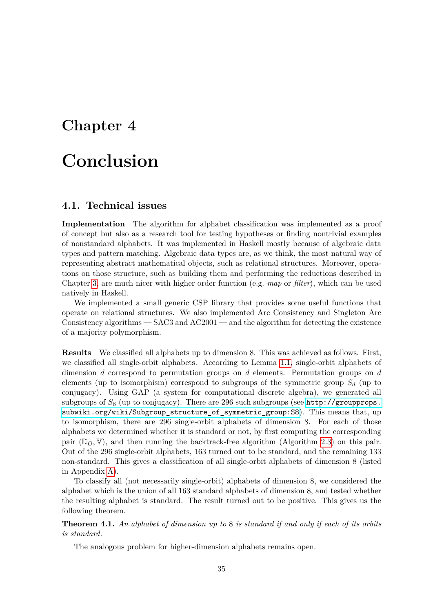## <span id="page-36-0"></span>**Chapter 4**

## **Conclusion**

#### <span id="page-36-1"></span>**4.1. Technical issues**

**Implementation** The algorithm for alphabet classification was implemented as a proof of concept but also as a research tool for testing hypotheses or finding nontrivial examples of nonstandard alphabets. It was implemented in Haskell mostly because of algebraic data types and pattern matching. Algebraic data types are, as we think, the most natural way of representing abstract mathematical objects, such as relational structures. Moreover, operations on those structure, such as building them and performing the reductions described in Chapter [3,](#page-22-0) are much nicer with higher order function (e.g. *map* or *filter*), which can be used natively in Haskell.

We implemented a small generic CSP library that provides some useful functions that operate on relational structures. We also implemented Arc Consistency and Singleton Arc Consistency algorithms — SAC3 and AC2001 — and the algorithm for detecting the existence of a majority polymorphism.

**Results** We classified all alphabets up to dimension 8. This was achieved as follows. First, we classified all single-orbit alphabets. According to Lemma [1.1,](#page-9-1) single-orbit alphabets of dimension *d* correspond to permutation groups on *d* elements. Permutation groups on *d* elements (up to isomorphism) correspond to subgroups of the symmetric group *S<sup>d</sup>* (up to conjugacy). Using GAP (a system for computational discrete algebra), we generated all subgroups of *S*<sup>8</sup> (up to conjugacy). There are 296 such subgroups (see [http://groupprops.](http://groupprops.subwiki.org/wiki/Subgroup_structure_of_symmetric_group:S8) [subwiki.org/wiki/Subgroup\\_structure\\_of\\_symmetric\\_group:S8](http://groupprops.subwiki.org/wiki/Subgroup_structure_of_symmetric_group:S8)). This means that, up to isomorphism, there are 296 single-orbit alphabets of dimension 8. For each of those alphabets we determined whether it is standard or not, by first computing the corresponding pair  $(\mathbb{D}_Q, \mathbb{V})$ , and then running the backtrack-free algorithm (Algorithm [2.3\)](#page-19-0) on this pair. Out of the 296 single-orbit alphabets, 163 turned out to be standard, and the remaining 133 non-standard. This gives a classification of all single-orbit alphabets of dimension 8 (listed in Appendix [A\)](#page-38-0).

To classify all (not necessarily single-orbit) alphabets of dimension 8, we considered the alphabet which is the union of all 163 standard alphabets of dimension 8, and tested whether the resulting alphabet is standard. The result turned out to be positive. This gives us the following theorem.

**Theorem 4.1.** *An alphabet of dimension up to* 8 *is standard if and only if each of its orbits is standard.*

The analogous problem for higher-dimension alphabets remains open.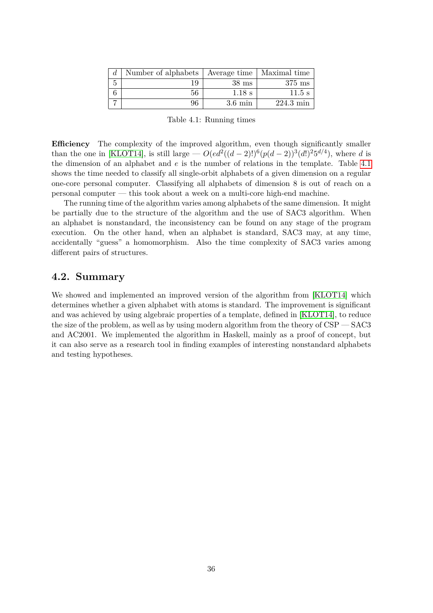| d | Number of alphabets   Average time   Maximal time |                   |                     |
|---|---------------------------------------------------|-------------------|---------------------|
|   |                                                   | $38$ ms           | $375$ ms            |
|   | 56                                                | $1.18$ s          | $11.5$ s            |
|   | 96                                                | $3.6 \text{ min}$ | $224.3 \text{ min}$ |

<span id="page-37-1"></span>Table 4.1: Running times

**Efficiency** The complexity of the improved algorithm, even though significantly smaller than the one in [\[KLOT14\]](#page-46-2), is still large —  $O(ed^2((d-2)!)^6(p(d-2))^3(d!)^25^{d/4})$ , where *d* is the dimension of an alphabet and *e* is the number of relations in the template. Table [4.1](#page-37-1) shows the time needed to classify all single-orbit alphabets of a given dimension on a regular one-core personal computer. Classifying all alphabets of dimension 8 is out of reach on a personal computer — this took about a week on a multi-core high-end machine.

The running time of the algorithm varies among alphabets of the same dimension. It might be partially due to the structure of the algorithm and the use of SAC3 algorithm. When an alphabet is nonstandard, the inconsistency can be found on any stage of the program execution. On the other hand, when an alphabet is standard, SAC3 may, at any time, accidentally "guess" a homomorphism. Also the time complexity of SAC3 varies among different pairs of structures.

#### <span id="page-37-0"></span>**4.2. Summary**

We showed and implemented an improved version of the algorithm from [\[KLOT14\]](#page-46-2) which determines whether a given alphabet with atoms is standard. The improvement is significant and was achieved by using algebraic properties of a template, defined in [\[KLOT14\]](#page-46-2), to reduce the size of the problem, as well as by using modern algorithm from the theory of CSP — SAC3 and AC2001. We implemented the algorithm in Haskell, mainly as a proof of concept, but it can also serve as a research tool in finding examples of interesting nonstandard alphabets and testing hypotheses.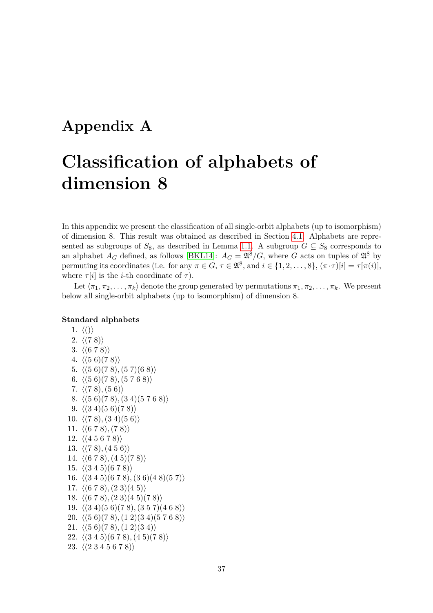## <span id="page-38-0"></span>**Appendix A**

# **Classification of alphabets of dimension 8**

In this appendix we present the classification of all single-orbit alphabets (up to isomorphism) of dimension 8. This result was obtained as described in Section [4.1.](#page-36-1) Alphabets are represented as subgroups of  $S_8$ , as described in Lemma [1.1.](#page-9-1) A subgroup  $G \subseteq S_8$  corresponds to an alphabet  $A_G$  defined, as follows [\[BKL14\]](#page-46-7):  $A_G = \mathfrak{A}^8/G$ , where *G* acts on tuples of  $\mathfrak{A}^8$  by permuting its coordinates (i.e. for any  $\pi \in G$ ,  $\tau \in \mathfrak{A}^8$ , and  $i \in \{1, 2, ..., 8\}$ ,  $(\pi \cdot \tau)[i] = \tau[\pi(i)],$ where  $\tau[i]$  is the *i*-th coordinate of  $\tau$ ).

Let  $\langle \pi_1, \pi_2, \ldots, \pi_k \rangle$  denote the group generated by permutations  $\pi_1, \pi_2, \ldots, \pi_k$ . We present below all single-orbit alphabets (up to isomorphism) of dimension 8.

#### **Standard alphabets**

1.  $\langle () \rangle$ 2.  $\langle (7 \ 8) \rangle$ 3.  $\langle (6 7 8) \rangle$ 4.  $\langle (5 \ 6)(7 \ 8) \rangle$ 5.  $\langle (5 6)(7 8), (5 7)(6 8) \rangle$ 6.  $\langle (5 6)(7 8), (5 7 6 8) \rangle$ 7.  $\langle (7 \ 8), (5 \ 6) \rangle$ 8.  $\langle (5 \ 6)(7 \ 8), (3 \ 4)(5 \ 7 \ 6 \ 8) \rangle$ 9.  $\langle (3\ 4)(5\ 6)(7\ 8) \rangle$ 10.  $\langle (7 \ 8), (3 \ 4)(5 \ 6) \rangle$ 11.  $\langle (6 7 8), (7 8) \rangle$ 12.  $\langle (4\ 5\ 6\ 7\ 8) \rangle$ 13.  $\langle (7 \ 8), (4 \ 5 \ 6) \rangle$ 14.  $\langle (6 7 8), (4 5)(7 8) \rangle$ 15.  $\langle (3\ 4\ 5)(6\ 7\ 8) \rangle$ 16.  $\langle (3 4 5)(6 7 8), (3 6)(4 8)(5 7) \rangle$ 17.  $\langle (6 7 8), (2 3)(4 5) \rangle$ 18.  $\langle (6 7 8), (2 3)(4 5)(7 8) \rangle$ 19.  $\langle (3\ 4)(5\ 6)(7\ 8), (3\ 5\ 7)(4\ 6\ 8) \rangle$ 20.  $\langle (5 \ 6)(7 \ 8), (1 \ 2)(3 \ 4)(5 \ 7 \ 6 \ 8) \rangle$ 21.  $\langle (5 \ 6)(7 \ 8), (1 \ 2)(3 \ 4) \rangle$ 22.  $\langle (3 4 5)(6 7 8), (4 5)(7 8) \rangle$ 23.  $\langle (2\ 3\ 4\ 5\ 6\ 7\ 8) \rangle$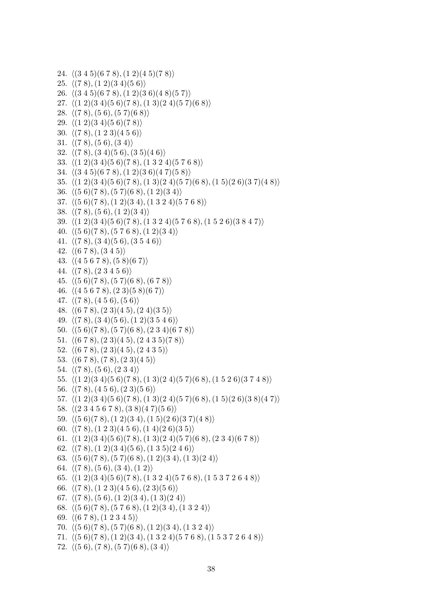```
24. \langle (3 4 5)(6 7 8), (1 2)(4 5)(7 8) \rangle25. \langle (7 \ 8), (1 \ 2)(3 \ 4)(5 \ 6) \rangle26. \langle (3 4 5)(6 7 8), (1 2)(3 6)(4 8)(5 7) \rangle27. \langle (1 \ 2)(3 \ 4)(5 \ 6)(7 \ 8), (1 \ 3)(2 \ 4)(5 \ 7)(6 \ 8) \rangle28. \langle (7 8), (5 6), (5 7)(6 8) \rangle29. \langle (1 \ 2)(3 \ 4)(5 \ 6)(7 \ 8) \rangle30. \langle (78), (123)(456) \rangle31. \langle (7 \ 8), (5 \ 6), (3 \ 4) \rangle32. \langle (7 \ 8), (3 \ 4)(5 \ 6), (3 \ 5)(4 \ 6) \rangle33. \langle (1 \ 2)(3 \ 4)(5 \ 6)(7 \ 8), (1 \ 3 \ 2 \ 4)(5 \ 7 \ 6 \ 8) \rangle34. \langle (3 4 5)(6 7 8), (1 2)(3 6)(4 7)(5 8) \rangle35. h(1 2)(3 4)(5 6)(7 8),(1 3)(2 4)(5 7)(6 8),(1 5)(2 6)(3 7)(4 8)i
36. \langle (5 \ 6)(7 \ 8), (5 \ 7)(6 \ 8), (1 \ 2)(3 \ 4) \rangle37. \langle (5 \ 6)(7 \ 8), (1 \ 2)(3 \ 4), (1 \ 3 \ 2 \ 4)(5 \ 7 \ 6 \ 8) \rangle38. \langle (7 8), (5 6), (1 2)(3 4) \rangle39. \langle (1 2)(3 4)(5 6)(7 8), (1 3 2 4)(5 7 6 8), (1 5 2 6)(3 8 4 7) \rangle40. \langle (5 \ 6)(7 \ 8), (5 \ 7 \ 6 \ 8), (1 \ 2)(3 \ 4) \rangle41. \langle (7 8), (3 4)(5 6), (3 5 4 6) \rangle42. \langle (6 7 8), (3 4 5) \rangle43. \langle (4\ 5\ 6\ 7\ 8), (5\ 8)(6\ 7) \rangle44. \langle (7 8), (2 3 4 5 6) \rangle45. h(5 6)(7 8),(5 7)(6 8),(6 7 8)i
46. \langle (4 5 6 7 8), (2 3)(5 8)(6 7) \rangle47. \langle (7 8), (4 5 6), (5 6) \rangle48. \langle (6 7 8), (2 3)(4 5), (2 4)(3 5) \rangle49. \langle (7\ 8), (3\ 4)(5\ 6), (1\ 2)(3\ 5\ 4\ 6) \rangle50. \langle (5 \ 6)(7 \ 8), (5 \ 7)(6 \ 8), (2 \ 3 \ 4)(6 \ 7 \ 8) \rangle51. \langle (6 7 8), (2 3)(4 5), (2 4 3 5)(7 8) \rangle52. \langle (6 7 8), (2 3)(4 5), (2 4 3 5) \rangle53. \langle (6 7 8), (7 8), (2 3)(4 5) \rangle54. \langle (7 8), (5 6), (2 3 4) \rangle55. \langle (1 2)(3 4)(5 6)(7 8), (1 3)(2 4)(5 7)(6 8), (1 5 2 6)(3 7 4 8) \rangle56. \langle (7 8), (4 5 6), (2 3)(5 6) \rangle57. \langle (1 \ 2)(3 \ 4)(5 \ 6)(7 \ 8), (1 \ 3)(2 \ 4)(5 \ 7)(6 \ 8), (1 \ 5)(2 \ 6)(3 \ 8)(4 \ 7) \rangle58. \langle (2 3 4 5 6 7 8), (3 8)(4 7)(5 6) \rangle59. \langle (5 \ 6)(7 \ 8), (1 \ 2)(3 \ 4), (1 \ 5)(2 \ 6)(3 \ 7)(4 \ 8) \rangle60. \langle (78), (123)(456), (14)(26)(35) \rangle61. \langle (1 \ 2)(3 \ 4)(5 \ 6)(7 \ 8), (1 \ 3)(2 \ 4)(5 \ 7)(6 \ 8), (2 \ 3 \ 4)(6 \ 7 \ 8) \rangle62. \langle (7\ 8), (1\ 2)(3\ 4)(5\ 6), (1\ 3\ 5)(2\ 4\ 6) \rangle63. \langle (5 \ 6)(7 \ 8), (5 \ 7)(6 \ 8), (1 \ 2)(3 \ 4), (1 \ 3)(2 \ 4) \rangle64. \langle (7 \ 8), (5 \ 6), (3 \ 4), (1 \ 2) \rangle65. h(1 2)(3 4)(5 6)(7 8),(1 3 2 4)(5 7 6 8),(1 5 3 7 2 6 4 8)i
66. \langle (78), (123)(456), (23)(56) \rangle67. \langle (7 8), (5 6), (1 2)(3 4), (1 3)(2 4) \rangle68. \langle (5 \ 6)(7 \ 8), (5 \ 7 \ 6 \ 8), (1 \ 2)(3 \ 4), (1 \ 3 \ 2 \ 4) \rangle69. \langle (6 7 8), (1 2 3 4 5) \rangle70. \langle (5 \ 6)(7 \ 8), (5 \ 7)(6 \ 8), (1 \ 2)(3 \ 4), (1 \ 3 \ 2 \ 4) \rangle71. \langle (5 \ 6)(7 \ 8), (1 \ 2)(3 \ 4), (1 \ 3 \ 2 \ 4)(5 \ 7 \ 6 \ 8), (1 \ 5 \ 3 \ 7 \ 2 \ 6 \ 4 \ 8) \rangle72. \langle (5 6), (7 8), (5 7)(6 8), (3 4) \rangle
```

```
38
```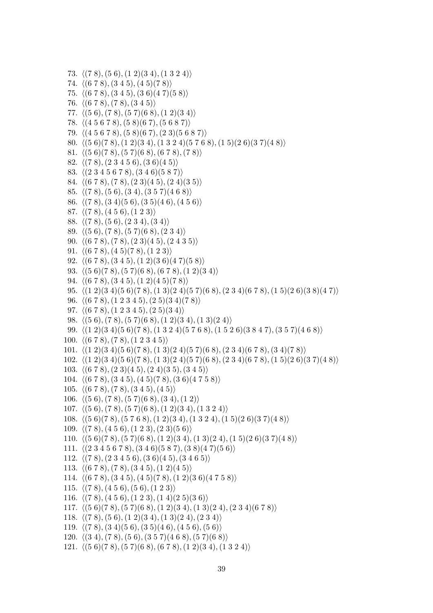```
73. \langle (7 8), (5 6), (1 2)(3 4), (1 3 2 4) \rangle74. \langle (6 7 8), (3 4 5), (4 5)(7 8) \rangle75. \langle (6 7 8), (3 4 5), (3 6)(4 7)(5 8) \rangle76. \langle (6 7 8), (7 8), (3 4 5) \rangle77. \langle (5 6), (7 8), (5 7)(6 8), (1 2)(3 4) \rangle78. \langle (4 5 6 7 8), (5 8)(6 7), (5 6 8 7) \rangle79. \langle (4 5 6 7 8), (5 8)(6 7), (2 3)(5 6 8 7) \rangle80. \langle (5 \ 6)(7 \ 8), (1 \ 2)(3 \ 4), (1 \ 3 \ 2 \ 4)(5 \ 7 \ 6 \ 8), (1 \ 5)(2 \ 6)(3 \ 7)(4 \ 8) \rangle81. \langle (5 6)(7 8), (5 7)(6 8), (6 7 8), (7 8) \rangle82. \langle (7 \ 8), (2 \ 3 \ 4 \ 5 \ 6), (3 \ 6)(4 \ 5) \rangle83. \langle (2 3 4 5 6 7 8), (3 4 6)(5 8 7) \rangle84. \langle (6 7 8), (7 8), (2 3)(4 5), (2 4)(3 5) \rangle85. \langle (7 8), (5 6), (3 4), (3 5 7), (4 6 8) \rangle86. h(7 8),(3 4)(5 6),(3 5)(4 6),(4 5 6)i
 87. \langle (78), (456), (123) \rangle88. \langle (7 \ 8), (5 \ 6), (2 \ 3 \ 4), (3 \ 4) \rangle89. \langle (5 6), (7 8), (5 7)(6 8), (2 3 4) \rangle90. \langle (6 7 8), (7 8), (2 3)(4 5), (2 4 3 5) \rangle91. \langle (6 7 8), (4 5)(7 8), (1 2 3) \rangle92. \langle (6 7 8), (3 4 5), (1 2)(3 6)(4 7)(5 8) \rangle93. \langle (5 \ 6)(7 \ 8), (5 \ 7)(6 \ 8), (6 \ 7 \ 8), (1 \ 2)(3 \ 4) \rangle94. \langle (6 7 8), (3 4 5), (1 2)(4 5)(7 8) \rangle95. \langle (1 2)(3 4)(5 6)(7 8), (1 3)(2 4)(5 7)(6 8), (2 3 4)(6 7 8), (1 5)(2 6)(3 8)(4 7) \rangle96. \langle (6 7 8), (1 2 3 4 5), (2 5)(3 4)(7 8) \rangle97. \langle (6 7 8), (1 2 3 4 5), (2 5)(3 4) \rangle98. \langle (5 6), (7 8), (5 7)(6 8), (1 2)(3 4), (1 3)(2 4) \rangle99. h(1 2)(3 4)(5 6)(7 8),(1 3 2 4)(5 7 6 8),(1 5 2 6)(3 8 4 7),(3 5 7)(4 6 8)i
100. \langle (6 7 8), (7 8), (1 2 3 4 5) \rangle101. \langle (1 \ 2)(3 \ 4)(5 \ 6)(7 \ 8), (1 \ 3)(2 \ 4)(5 \ 7)(6 \ 8), (2 \ 3 \ 4)(6 \ 7 \ 8), (3 \ 4)(7 \ 8) \rangle102. \langle (1 \ 2)(3 \ 4)(5 \ 6)(7 \ 8), (1 \ 3)(2 \ 4)(5 \ 7)(6 \ 8), (2 \ 3 \ 4)(6 \ 7 \ 8), (1 \ 5)(2 \ 6)(3 \ 7)(4 \ 8) \rangle103. \langle (6 7 8), (2 3)(4 5), (2 4)(3 5), (3 4 5) \rangle104. \langle (6 7 8), (3 4 5), (4 5)(7 8), (3 6)(4 7 5 8) \rangle105. \langle (6 7 8), (7 8), (3 4 5), (4 5) \rangle106. \langle (5 6), (7 8), (5 7)(6 8), (3 4), (1 2) \rangle107. \langle (5 6), (7 8), (5 7)(6 8), (1 2)(3 4), (1 3 2 4) \rangle108. \langle (5 \ 6)(7 \ 8), (5 \ 7 \ 6 \ 8), (1 \ 2)(3 \ 4), (1 \ 3 \ 2 \ 4), (1 \ 5)(2 \ 6)(3 \ 7)(4 \ 8) \rangle109. \langle (7 \ 8), (4 \ 5 \ 6), (1 \ 2 \ 3), (2 \ 3)(5 \ 6) \rangle110. \langle (5 \ 6)(7 \ 8), (5 \ 7)(6 \ 8), (1 \ 2)(3 \ 4), (1 \ 3)(2 \ 4), (1 \ 5)(2 \ 6)(3 \ 7)(4 \ 8) \rangle111. \langle (2 3 4 5 6 7 8), (3 4 6)(5 8 7), (3 8)(4 7)(5 6) \rangle112. \langle (78), (23456), (36)(45), (3465) \rangle113. \langle (6 7 8), (7 8), (3 4 5), (1 2)(4 5) \rangle114. \langle (6 7 8), (3 4 5), (4 5)(7 8), (1 2)(3 6), (4 7 5 8) \rangle115. \langle (78), (456), (56), (123) \rangle116. \langle (7 \ 8), (4 \ 5 \ 6), (1 \ 2 \ 3), (1 \ 4)(2 \ 5)(3 \ 6) \rangle117. h(5 6)(7 8),(5 7)(6 8),(1 2)(3 4),(1 3)(2 4),(2 3 4)(6 7 8)i
118. \langle (7\ 8), (5\ 6), (1\ 2)(3\ 4), (1\ 3)(2\ 4), (2\ 3\ 4) \rangle119. \langle (7\ 8), (3\ 4)(5\ 6), (3\ 5)(4\ 6), (4\ 5\ 6), (5\ 6) \rangle120. \langle (3 4), (7 8), (5 6), (3 5 7), (4 6 8), (5 7), (6 8) \rangle121. \langle (5 \ 6)(7 \ 8), (5 \ 7)(6 \ 8), (6 \ 7 \ 8), (1 \ 2)(3 \ 4), (1 \ 3 \ 2 \ 4) \rangle
```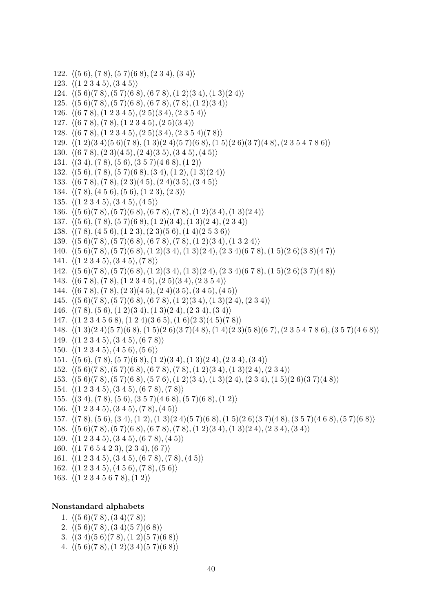```
122. \langle (5 6), (7 8), (5 7)(6 8), (2 3 4), (3 4) \rangle123. \langle (1 2 3 4 5), (3 4 5) \rangle124. \langle (5 \ 6)(7 \ 8), (5 \ 7)(6 \ 8), (6 \ 7 \ 8), (1 \ 2)(3 \ 4), (1 \ 3)(2 \ 4) \rangle125. \langle (5 \ 6)(7 \ 8), (5 \ 7)(6 \ 8), (6 \ 7 \ 8), (7 \ 8), (1 \ 2)(3 \ 4) \rangle126. \langle (6 7 8), (1 2 3 4 5), (2 5)(3 4), (2 3 5 4) \rangle127. \langle (6 7 8), (7 8), (1 2 3 4 5), (2 5)(3 4) \rangle128. \langle (6 7 8), (1 2 3 4 5), (2 5)(3 4), (2 3 5 4)(7 8) \rangle129. h(1 2)(3 4)(5 6)(7 8),(1 3)(2 4)(5 7)(6 8),(1 5)(2 6)(3 7)(4 8),(2 3 5 4 7 8 6)i
130. \langle (6 7 8), (2 3)(4 5), (2 4)(3 5), (3 4 5), (4 5) \rangle131. \langle (3 4), (7 8), (5 6), (3 5 7), (4 6 8), (1 2) \rangle132. \langle (5 6), (7 8), (5 7)(6 8), (3 4), (1 2), (1 3)(2 4) \rangle133. \langle (6 7 8), (7 8), (2 3)(4 5), (2 4)(3 5), (3 4 5) \rangle134. \langle (7 \ 8), (4 \ 5 \ 6), (5 \ 6), (1 \ 2 \ 3), (2 \ 3) \rangle135. \langle (1 2 3 4 5), (3 4 5), (4 5) \rangle136. \langle (5 \ 6)(7 \ 8), (5 \ 7)(6 \ 8), (6 \ 7 \ 8), (7 \ 8), (1 \ 2)(3 \ 4), (1 \ 3)(2 \ 4) \rangle137. h(5 6),(7 8),(5 7)(6 8),(1 2)(3 4),(1 3)(2 4),(2 3 4)i
138. \langle (7 8), (4 5 6), (1 2 3), (2 3)(5 6), (1 4)(2 5 3 6) \rangle139. \langle (5 \ 6)(7 \ 8), (5 \ 7)(6 \ 8), (6 \ 7 \ 8), (7 \ 8), (1 \ 2)(3 \ 4), (1 \ 3 \ 2 \ 4) \rangle140. \langle (5\ 6)(7\ 8), (5\ 7)(6\ 8), (1\ 2)(3\ 4), (1\ 3)(2\ 4), (2\ 3\ 4)(6\ 7\ 8), (1\ 5)(2\ 6)(3\ 8)(4\ 7) \rangle141. \langle (1 2 3 4 5), (3 4 5), (7 8) \rangle142. h(5 6)(7 8),(5 7)(6 8),(1 2)(3 4),(1 3)(2 4),(2 3 4)(6 7 8),(1 5)(2 6)(3 7)(4 8)i
143. \langle (6 7 8), (7 8), (1 2 3 4 5), (2 5)(3 4), (2 3 5 4) \rangle144. \langle (6 7 8), (7 8), (2 3)(4 5), (2 4)(3 5), (3 4 5), (4 5) \rangle145. \langle (5 \ 6)(7 \ 8), (5 \ 7)(6 \ 8), (6 \ 7 \ 8), (1 \ 2)(3 \ 4), (1 \ 3)(2 \ 4), (2 \ 3 \ 4) \rangle146. \langle (7 8), (5 6), (1 2)(3 4), (1 3)(2 4), (2 3 4), (3 4) \rangle147. \langle (1 2 3 4 5 6 8), (1 2 4)(3 6 5), (1 6)(2 3)(4 5)(7 8) \rangle148. h(1 3)(2 4)(5 7)(6 8),(1 5)(2 6)(3 7)(4 8),(1 4)(2 3)(5 8)(6 7),(2 3 5 4 7 8 6),(3 5 7)(4 6 8)i
149. \langle (1 2 3 4 5), (3 4 5), (6 7 8) \rangle150. \langle (1 2 3 4 5), (4 5 6), (5 6) \rangle151. \langle (5 6), (7 8), (5 7)(6 8), (1 2)(3 4), (1 3)(2 4), (2 3 4), (3 4) \rangle152. h(5 6)(7 8),(5 7)(6 8),(6 7 8),(7 8),(1 2)(3 4),(1 3)(2 4),(2 3 4)i
153. h(5 6)(7 8),(5 7)(6 8),(5 7 6),(1 2)(3 4),(1 3)(2 4),(2 3 4),(1 5)(2 6)(3 7)(4 8)i
154. \langle (1 2 3 4 5), (3 4 5), (6 7 8), (7 8) \rangle155. \langle (3 4), (7 8), (5 6), (3 5 7), (4 6 8), (5 7), (6 8), (1 2) \rangle156. \langle (1 2 3 4 5), (3 4 5), (7 8), (4 5) \rangle157. h(7 8),(5 6),(3 4),(1 2),(1 3)(2 4)(5 7)(6 8),(1 5)(2 6)(3 7)(4 8),(3 5 7)(4 6 8),(5 7)(6 8)i
158. \langle (5 \ 6)(7 \ 8), (5 \ 7)(6 \ 8), (6 \ 7 \ 8), (7 \ 8), (1 \ 2)(3 \ 4), (1 \ 3)(2 \ 4), (2 \ 3 \ 4), (3 \ 4) \rangle159. \langle (1 2 3 4 5), (3 4 5), (6 7 8), (4 5) \rangle160. \langle (1 7 6 5 4 2 3), (2 3 4), (6 7) \rangle161. \langle (1 2 3 4 5), (3 4 5), (6 7 8), (7 8), (4 5) \rangle162. \langle (1 2 3 4 5), (4 5 6), (7 8), (5 6) \rangle163. \langle (1 2 3 4 5 6 7 8), (1 2) \rangle
```
#### **Nonstandard alphabets**

- 1.  $\langle (5 \ 6)(7 \ 8), (3 \ 4)(7 \ 8) \rangle$
- 2.  $\langle (5 \ 6)(7 \ 8), (3 \ 4)(5 \ 7)(6 \ 8) \rangle$
- 3.  $\langle (3 4)(5 6)(7 8), (1 2)(5 7)(6 8) \rangle$
- 4.  $\langle (5 \ 6)(7 \ 8), (1 \ 2)(3 \ 4)(5 \ 7)(6 \ 8) \rangle$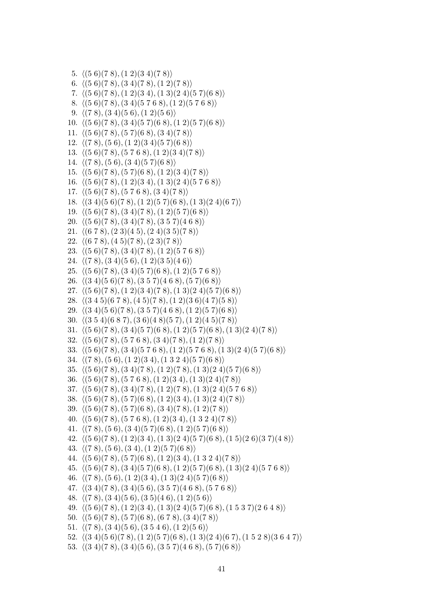```
5. \langle (5 \ 6)(7 \ 8), (1 \ 2)(3 \ 4)(7 \ 8) \rangle6. \langle (5 \ 6)(7 \ 8), (3 \ 4)(7 \ 8), (1 \ 2)(7 \ 8) \rangle7. \langle (5 \ 6)(7 \ 8), (1 \ 2)(3 \ 4), (1 \ 3)(2 \ 4)(5 \ 7)(6 \ 8) \rangle8. \langle (5 \ 6)(7 \ 8), (3 \ 4)(5 \ 7 \ 6 \ 8), (1 \ 2)(5 \ 7 \ 6 \ 8) \rangle9. \langle (7 8), (3 4)(5 6), (1 2)(5 6) \rangle10. \langle (5 \ 6)(7 \ 8), (3 \ 4)(5 \ 7)(6 \ 8), (1 \ 2)(5 \ 7)(6 \ 8) \rangle11. \langle (5 \ 6)(7 \ 8), (5 \ 7)(6 \ 8), (3 \ 4)(7 \ 8) \rangle12. \langle (7 8), (5 6), (1 2)(3 4)(5 7)(6 8) \rangle13. \langle (5 \ 6)(7 \ 8), (5 \ 7 \ 6 \ 8), (1 \ 2)(3 \ 4)(7 \ 8) \rangle14. \langle (7 8), (5 6), (3 4)(5 7)(6 8) \rangle15. \langle (5 \ 6)(7 \ 8), (5 \ 7)(6 \ 8), (1 \ 2)(3 \ 4)(7 \ 8) \rangle16. \langle (5 \ 6)(7 \ 8), (1 \ 2)(3 \ 4), (1 \ 3)(2 \ 4)(5 \ 7 \ 6 \ 8) \rangle17. \langle (5 \ 6)(7 \ 8), (5 \ 7 \ 6 \ 8), (3 \ 4)(7 \ 8) \rangle18. \langle (3\ 4)(5\ 6)(7\ 8), (1\ 2)(5\ 7)(6\ 8), (1\ 3)(2\ 4)(6\ 7) \rangle19. \langle (5 \ 6)(7 \ 8), (3 \ 4)(7 \ 8), (1 \ 2)(5 \ 7)(6 \ 8) \rangle20. \langle (5 \ 6)(7 \ 8), (3 \ 4)(7 \ 8), (3 \ 5 \ 7)(4 \ 6 \ 8) \rangle21. \langle (6 7 8), (2 3)(4 5), (2 4)(3 5)(7 8) \rangle22. \langle (6 7 8), (4 5)(7 8), (2 3)(7 8) \rangle23. \langle (5 \ 6)(7 \ 8), (3 \ 4)(7 \ 8), (1 \ 2)(5 \ 7 \ 6 \ 8) \rangle24. \langle (7 \ 8), (3 \ 4)(5 \ 6), (1 \ 2)(3 \ 5)(4 \ 6) \rangle25. \langle (5 \ 6)(7 \ 8), (3 \ 4)(5 \ 7)(6 \ 8), (1 \ 2)(5 \ 7 \ 6 \ 8) \rangle26. \langle (3\ 4)(5\ 6)(7\ 8), (3\ 5\ 7)(4\ 6\ 8), (5\ 7)(6\ 8) \rangle27. \langle (5 \ 6)(7 \ 8), (1 \ 2)(3 \ 4)(7 \ 8), (1 \ 3)(2 \ 4)(5 \ 7)(6 \ 8) \rangle28. \langle (3 4 5)(6 7 8), (4 5)(7 8), (1 2)(3 6)(4 7)(5 8) \rangle29. \langle (3 4)(5 6)(7 8), (3 5 7)(4 6 8), (1 2)(5 7)(6 8) \rangle30. \langle (3\ 5\ 4)(6\ 8\ 7), (3\ 6)(4\ 8)(5\ 7), (1\ 2)(4\ 5)(7\ 8) \rangle31. \langle (5 \ 6)(7 \ 8), (3 \ 4)(5 \ 7)(6 \ 8), (1 \ 2)(5 \ 7)(6 \ 8), (1 \ 3)(2 \ 4)(7 \ 8) \rangle32. h(5 6)(7 8),(5 7 6 8),(3 4)(7 8),(1 2)(7 8)i
33. \langle (5 \ 6)(7 \ 8), (3 \ 4)(5 \ 7 \ 6 \ 8), (1 \ 2)(5 \ 7 \ 6 \ 8), (1 \ 3)(2 \ 4)(5 \ 7)(6 \ 8) \rangle34. \langle (7 8), (5 6), (1 2)(3 4), (1 3 2 4)(5 7)(6 8) \rangle35. \langle (5 \ 6)(7 \ 8), (3 \ 4)(7 \ 8), (1 \ 2)(7 \ 8), (1 \ 3)(2 \ 4)(5 \ 7)(6 \ 8) \rangle36. \langle (5 \ 6)(7 \ 8), (5 \ 7 \ 6 \ 8), (1 \ 2)(3 \ 4), (1 \ 3)(2 \ 4)(7 \ 8) \rangle37. h(5 6)(7 8),(3 4)(7 8),(1 2)(7 8),(1 3)(2 4)(5 7 6 8)i
38. \langle (5 \ 6)(7 \ 8), (5 \ 7)(6 \ 8), (1 \ 2)(3 \ 4), (1 \ 3)(2 \ 4)(7 \ 8) \rangle39. \langle (5 \ 6)(7 \ 8), (5 \ 7)(6 \ 8), (3 \ 4)(7 \ 8), (1 \ 2)(7 \ 8) \rangle40. h(5 6)(7 8),(5 7 6 8),(1 2)(3 4),(1 3 2 4)(7 8)i
41. h(7 8),(5 6),(3 4)(5 7)(6 8),(1 2)(5 7)(6 8)i
42. \langle (5 \ 6)(7 \ 8), (1 \ 2)(3 \ 4), (1 \ 3)(2 \ 4)(5 \ 7)(6 \ 8), (1 \ 5)(2 \ 6)(3 \ 7)(4 \ 8) \rangle43. \langle (7 8), (5 6), (3 4), (1 2)(5 7)(6 8) \rangle44. h(5 6)(7 8),(5 7)(6 8),(1 2)(3 4),(1 3 2 4)(7 8)i
45. h(5 6)(7 8),(3 4)(5 7)(6 8),(1 2)(5 7)(6 8),(1 3)(2 4)(5 7 6 8)i
46. h(7 8),(5 6),(1 2)(3 4),(1 3)(2 4)(5 7)(6 8)i
47. h(3 4)(7 8),(3 4)(5 6),(3 5 7)(4 6 8),(5 7 6 8)i
48. \langle (7 8), (3 4)(5 6), (3 5)(4 6), (1 2)(5 6) \rangle49. h(5 6)(7 8),(1 2)(3 4),(1 3)(2 4)(5 7)(6 8),(1 5 3 7)(2 6 4 8)i
50. \langle (5 \ 6)(7 \ 8), (5 \ 7)(6 \ 8), (6 \ 7 \ 8), (3 \ 4)(7 \ 8) \rangle51. \langle (7 8), (3 4)(5 6), (3 5 4 6), (1 2)(5 6) \rangle52. \langle (3\ 4)(5\ 6)(7\ 8), (1\ 2)(5\ 7)(6\ 8), (1\ 3)(2\ 4)(6\ 7), (1\ 5\ 2\ 8)(3\ 6\ 4\ 7) \rangle
```

```
53. \langle (3 4)(7 8), (3 4)(5 6), (3 5 7)(4 6 8), (5 7)(6 8) \rangle
```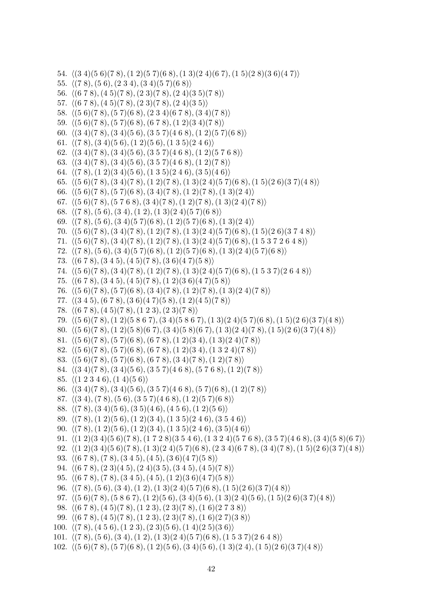```
54. h(3 4)(5 6)(7 8),(1 2)(5 7)(6 8),(1 3)(2 4)(6 7),(1 5)(2 8)(3 6)(4 7)i
 55. \langle (7 8), (5 6), (2 3 4), (3 4)(5 7)(6 8) \rangle56. \langle (6 7 8), (4 5)(7 8), (2 3)(7 8), (2 4)(3 5)(7 8) \rangle57. \langle (6 7 8), (4 5)(7 8), (2 3)(7 8), (2 4)(3 5) \rangle58. \langle (5 \ 6)(7 \ 8), (5 \ 7)(6 \ 8), (2 \ 3 \ 4)(6 \ 7 \ 8), (3 \ 4)(7 \ 8) \rangle59. \langle (5 \ 6)(7 \ 8), (5 \ 7)(6 \ 8), (6 \ 7 \ 8), (1 \ 2)(3 \ 4)(7 \ 8) \rangle60. \langle (3\ 4)(7\ 8), (3\ 4)(5\ 6), (3\ 5\ 7)(4\ 6\ 8), (1\ 2)(5\ 7)(6\ 8) \rangle61. \langle (7\ 8), (3\ 4)(5\ 6), (1\ 2)(5\ 6), (1\ 3\ 5)(2\ 4\ 6) \rangle62. \langle (3\ 4)(7\ 8), (3\ 4)(5\ 6), (3\ 5\ 7)(4\ 6\ 8), (1\ 2)(5\ 7\ 6\ 8) \rangle63. \langle (3\ 4)(7\ 8), (3\ 4)(5\ 6), (3\ 5\ 7)(4\ 6\ 8), (1\ 2)(7\ 8) \rangle64. \langle (7\ 8), (1\ 2)(3\ 4)(5\ 6), (1\ 3\ 5)(2\ 4\ 6), (3\ 5)(4\ 6) \rangle65. h(5 6)(7 8),(3 4)(7 8),(1 2)(7 8),(1 3)(2 4)(5 7)(6 8),(1 5)(2 6)(3 7)(4 8)i
 66. h(5 6)(7 8),(5 7)(6 8),(3 4)(7 8),(1 2)(7 8),(1 3)(2 4)i
 67. \langle (5 \ 6)(7 \ 8), (5 \ 7 \ 6 \ 8), (3 \ 4)(7 \ 8), (1 \ 2)(7 \ 8), (1 \ 3)(2 \ 4)(7 \ 8) \rangle68. \langle (7\ 8), (5\ 6), (3\ 4), (1\ 2), (1\ 3)(2\ 4)(5\ 7)(6\ 8) \rangle69. \langle (7 8), (5 6), (3 4)(5 7)(6 8), (1 2)(5 7)(6 8), (1 3)(2 4) \rangle70. h(5 6)(7 8),(3 4)(7 8),(1 2)(7 8),(1 3)(2 4)(5 7)(6 8),(1 5)(2 6)(3 7 4 8)i
 71. h(5 6)(7 8),(3 4)(7 8),(1 2)(7 8),(1 3)(2 4)(5 7)(6 8),(1 5 3 7 2 6 4 8)i
 72. h(7 8),(5 6),(3 4)(5 7)(6 8),(1 2)(5 7)(6 8),(1 3)(2 4)(5 7)(6 8)i
 73. \langle (6 7 8), (3 4 5), (4 5)(7 8), (3 6)(4 7)(5 8) \rangle74. h(5 6)(7 8),(3 4)(7 8),(1 2)(7 8),(1 3)(2 4)(5 7)(6 8),(1 5 3 7)(2 6 4 8)i
 75. \langle (6 7 8), (3 4 5), (4 5)(7 8), (1 2)(3 6)(4 7)(5 8) \rangle76. h(5 6)(7 8),(5 7)(6 8),(3 4)(7 8),(1 2)(7 8),(1 3)(2 4)(7 8)i
 77. \langle (3 4 5), (6 7 8), (3 6)(4 7)(5 8), (1 2)(4 5)(7 8) \rangle78. \langle (6 7 8), (4 5)(7 8), (1 2 3), (2 3)(7 8) \rangle79. h(5 6)(7 8),(1 2)(5 8 6 7),(3 4)(5 8 6 7),(1 3)(2 4)(5 7)(6 8),(1 5)(2 6)(3 7)(4 8)i
 80. h(5 6)(7 8),(1 2)(5 8)(6 7),(3 4)(5 8)(6 7),(1 3)(2 4)(7 8),(1 5)(2 6)(3 7)(4 8)i
 81. \langle (5 \ 6)(7 \ 8), (5 \ 7)(6 \ 8), (6 \ 7 \ 8), (1 \ 2)(3 \ 4), (1 \ 3)(2 \ 4)(7 \ 8) \rangle82. \langle (5 \ 6)(7 \ 8), (5 \ 7)(6 \ 8), (6 \ 7 \ 8), (1 \ 2)(3 \ 4), (1 \ 3 \ 2 \ 4)(7 \ 8) \rangle83. h(5 6)(7 8),(5 7)(6 8),(6 7 8),(3 4)(7 8),(1 2)(7 8)i
 84. \langle (3\ 4)(7\ 8), (3\ 4)(5\ 6), (3\ 5\ 7)(4\ 6\ 8), (5\ 7\ 6\ 8), (1\ 2)(7\ 8) \rangle85. \langle (1 2 3 4 6), (1 4)(5 6) \rangle86. h(3 4)(7 8),(3 4)(5 6),(3 5 7)(4 6 8),(5 7)(6 8),(1 2)(7 8)i
 87. \langle (3 4), (7 8), (5 6), (3 5 7), (4 6 8), (1 2), (5 7), (6 8) \rangle88. \langle (7\ 8), (3\ 4)(5\ 6), (3\ 5)(4\ 6), (4\ 5\ 6), (1\ 2)(5\ 6) \rangle89. h(7 8),(1 2)(5 6),(1 2)(3 4),(1 3 5)(2 4 6),(3 5 4 6)i
 90. \langle (7 \ 8), (1 \ 2)(5 \ 6), (1 \ 2)(3 \ 4), (1 \ 3 \ 5)(2 \ 4 \ 6), (3 \ 5)(4 \ 6) \rangle91. h(1 2)(3 4)(5 6)(7 8),(1 7 2 8)(3 5 4 6),(1 3 2 4)(5 7 6 8),(3 5 7)(4 6 8),(3 4)(5 8)(6 7)i
 92. h(1 2)(3 4)(5 6)(7 8),(1 3)(2 4)(5 7)(6 8),(2 3 4)(6 7 8),(3 4)(7 8),(1 5)(2 6)(3 7)(4 8)i
 93. \langle (6 7 8), (7 8), (3 4 5), (4 5), (3 6)(4 7)(5 8) \rangle94. h(6 7 8),(2 3)(4 5),(2 4)(3 5),(3 4 5),(4 5)(7 8)i
 95. \langle (6 7 8), (7 8), (3 4 5), (4 5), (1 2)(3 6)(4 7)(5 8) \rangle96. h(7 8),(5 6),(3 4),(1 2),(1 3)(2 4)(5 7)(6 8),(1 5)(2 6)(3 7)(4 8)i
 97. h(5 6)(7 8),(5 8 6 7),(1 2)(5 6),(3 4)(5 6),(1 3)(2 4)(5 6),(1 5)(2 6)(3 7)(4 8)i
 98. \langle (6 7 8), (4 5) (7 8), (1 2 3), (2 3) (7 8), (1 6) (2 7 3 8) \rangle99. h(6 7 8),(4 5)(7 8),(1 2 3),(2 3)(7 8),(1 6)(2 7)(3 8)i
100. \langle (7 8), (4 5 6), (1 2 3), (2 3)(5 6), (1 4)(2 5)(3 6) \rangle101. \langle (7\ 8), (5\ 6), (3\ 4), (1\ 2), (1\ 3)(2\ 4)(5\ 7)(6\ 8), (1\ 5\ 3\ 7)(2\ 6\ 4\ 8) \rangle102. h(5 6)(7 8),(5 7)(6 8),(1 2)(5 6),(3 4)(5 6),(1 3)(2 4),(1 5)(2 6)(3 7)(4 8)i
```
42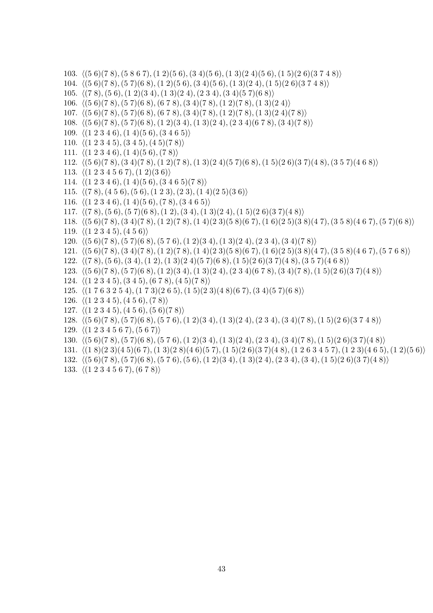```
103. h(5 6)(7 8),(5 8 6 7),(1 2)(5 6),(3 4)(5 6),(1 3)(2 4)(5 6),(1 5)(2 6)(3 7 4 8)i
104. h(5 6)(7 8),(5 7)(6 8),(1 2)(5 6),(3 4)(5 6),(1 3)(2 4),(1 5)(2 6)(3 7 4 8)i
105. \langle (7\ 8), (5\ 6), (1\ 2)(3\ 4), (1\ 3)(2\ 4), (2\ 3\ 4), (3\ 4)(5\ 7)(6\ 8) \rangle106. \langle (5\ 6)(7\ 8), (5\ 7)(6\ 8), (6\ 7\ 8), (3\ 4)(7\ 8), (1\ 2)(7\ 8), (1\ 3)(2\ 4) \rangle107. \langle (5\ 6)(7\ 8), (5\ 7)(6\ 8), (6\ 7\ 8), (3\ 4)(7\ 8), (1\ 2)(7\ 8), (1\ 3)(2\ 4)(7\ 8) \rangle108. \langle (5 \ 6)(7 \ 8), (5 \ 7)(6 \ 8), (1 \ 2)(3 \ 4), (1 \ 3)(2 \ 4), (2 \ 3 \ 4)(6 \ 7 \ 8), (3 \ 4)(7 \ 8) \rangle109. \langle (1 2 3 4 6), (1 4)(5 6), (3 4 6 5) \rangle110. \langle (1 2 3 4 5), (3 4 5), (4 5)(7 8) \rangle111. \langle (1 2 3 4 6), (1 4)(5 6), (7 8) \rangle112. h(5 6)(7 8),(3 4)(7 8),(1 2)(7 8),(1 3)(2 4)(5 7)(6 8),(1 5)(2 6)(3 7)(4 8),(3 5 7)(4 6 8)i
113. \langle (1 2 3 4 5 6 7), (1 2)(3 6) \rangle114. \langle (1 2 3 4 6), (1 4)(5 6), (3 4 6 5)(7 8) \rangle115. \langle (7 \ 8), (4 \ 5 \ 6), (5 \ 6), (1 \ 2 \ 3), (2 \ 3), (1 \ 4)(2 \ 5)(3 \ 6) \rangle116. \langle (1 2 3 4 6), (1 4)(5 6), (7 8), (3 4 6 5) \rangle117. \langle (7\ 8), (5\ 6), (5\ 7)(6\ 8), (1\ 2), (3\ 4), (1\ 3)(2\ 4), (1\ 5)(2\ 6)(3\ 7)(4\ 8) \rangle118. h(5 6)(7 8),(3 4)(7 8),(1 2)(7 8),(1 4)(2 3)(5 8)(6 7),(1 6)(2 5)(3 8)(4 7),(3 5 8)(4 6 7),(5 7)(6 8)i
119. \langle (1 2 3 4 5), (4 5 6) \rangle120. h(5 6)(7 8),(5 7)(6 8),(5 7 6),(1 2)(3 4),(1 3)(2 4),(2 3 4),(3 4)(7 8)i
121. h(5 6)(7 8),(3 4)(7 8),(1 2)(7 8),(1 4)(2 3)(5 8)(6 7),(1 6)(2 5)(3 8)(4 7),(3 5 8)(4 6 7),(5 7 6 8)i
122. h(7 8),(5 6),(3 4),(1 2),(1 3)(2 4)(5 7)(6 8),(1 5)(2 6)(3 7)(4 8),(3 5 7)(4 6 8)i
123. h(5 6)(7 8),(5 7)(6 8),(1 2)(3 4),(1 3)(2 4),(2 3 4)(6 7 8),(3 4)(7 8),(1 5)(2 6)(3 7)(4 8)i
124. \langle (1 2 3 4 5), (3 4 5), (6 7 8), (4 5)(7 8) \rangle125. \langle (1 7 6 3 2 5 4), (1 7 3)(2 6 5), (1 5)(2 3)(4 8)(6 7), (3 4)(5 7)(6 8) \rangle126. \langle (1 2 3 4 5), (4 5 6), (7 8) \rangle127. \langle (1 2 3 4 5), (4 5 6), (5 6)(7 8) \rangle128. h(5 6)(7 8),(5 7)(6 8),(5 7 6),(1 2)(3 4),(1 3)(2 4),(2 3 4),(3 4)(7 8),(1 5)(2 6)(3 7 4 8)i
129. \langle (1 2 3 4 5 6 7), (5 6 7) \rangle130. h(5 6)(7 8),(5 7)(6 8),(5 7 6),(1 2)(3 4),(1 3)(2 4),(2 3 4),(3 4)(7 8),(1 5)(2 6)(3 7)(4 8)i
131. \langle (1 \ 8)(2 \ 3)(4 \ 5)(6 \ 7), (1 \ 3)(2 \ 8)(4 \ 6)(5 \ 7), (1 \ 5)(2 \ 6)(3 \ 7)(4 \ 8), (1 \ 2 \ 6 \ 3 \ 4 \ 5 \ 7), (1 \ 2 \ 3)(4 \ 6 \ 5), (1 \ 2)(5 \ 6) \rangle132. h(5 6)(7 8),(5 7)(6 8),(5 7 6),(5 6),(1 2)(3 4),(1 3)(2 4),(2 3 4),(3 4),(1 5)(2 6)(3 7)(4 8)i
133. \langle (1 2 3 4 5 6 7), (6 7 8) \rangle
```